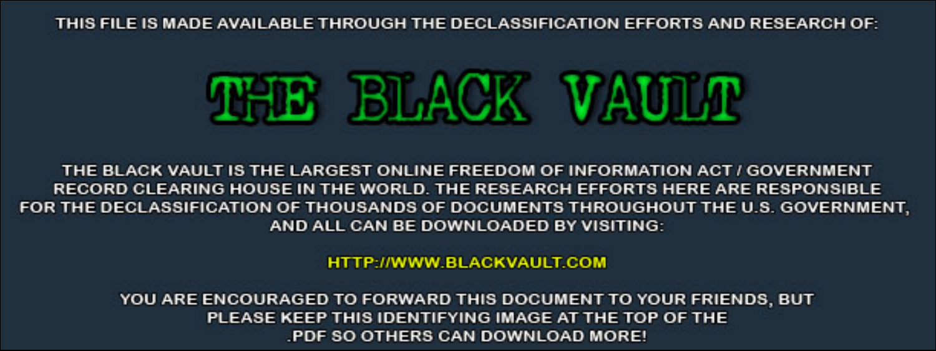THIS FILE IS MADE AVAILABLE THROUGH THE DECLASSIFICATION EFFORTS AND RESEARCH OF:



THE BLACK VAULT IS THE LARGEST ONLINE FREEDOM OF INFORMATION ACT / GOVERNMENT RECORD CLEARING HOUSE IN THE WORLD. THE RESEARCH EFFORTS HERE ARE RESPONSIBLE FOR THE DECLASSIFICATION OF THOUSANDS OF DOCUMENTS THROUGHOUT THE U.S. GOVERNMENT, AND ALL CAN BE DOWNLOADED BY VISITING:

**HTTP://WWW.BLACKVAULT.COM** 

YOU ARE ENCOURAGED TO FORWARD THIS DOCUMENT TO YOUR FRIENDS, BUT PLEASE KEEP THIS IDENTIFYING IMAGE AT THE TOP OF THE PDF SO OTHERS CAN DOWNLOAD MORE!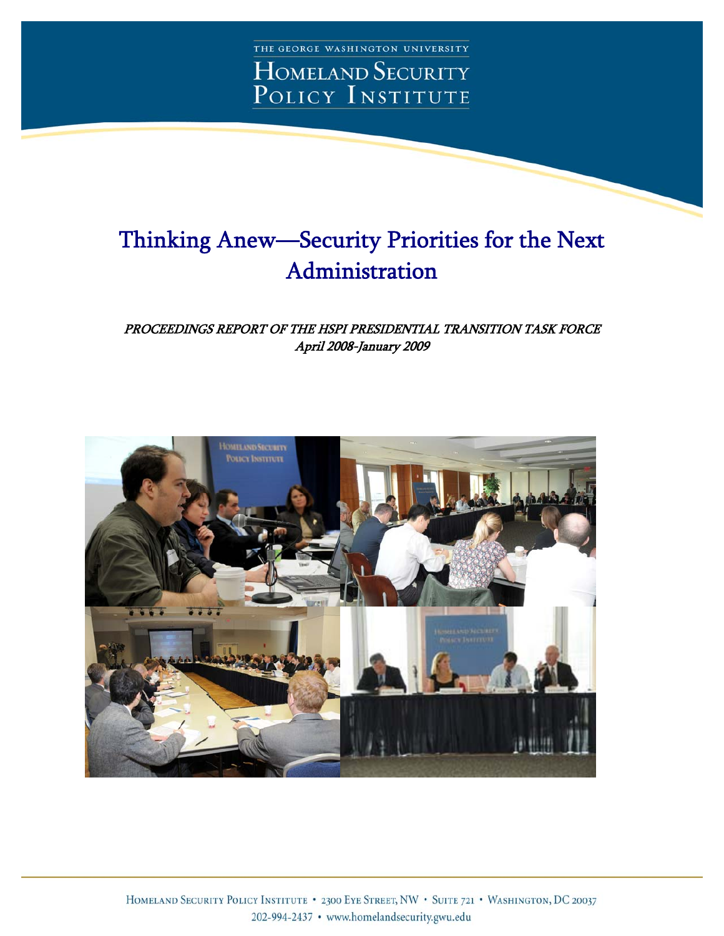

## Thinking Anew—Security Priorities for the Next Administration

## PROCEEDINGS REPORT OF THE HSPI PRESIDENTIAL TRANSITION TASK FORCE April 2008-January 2009

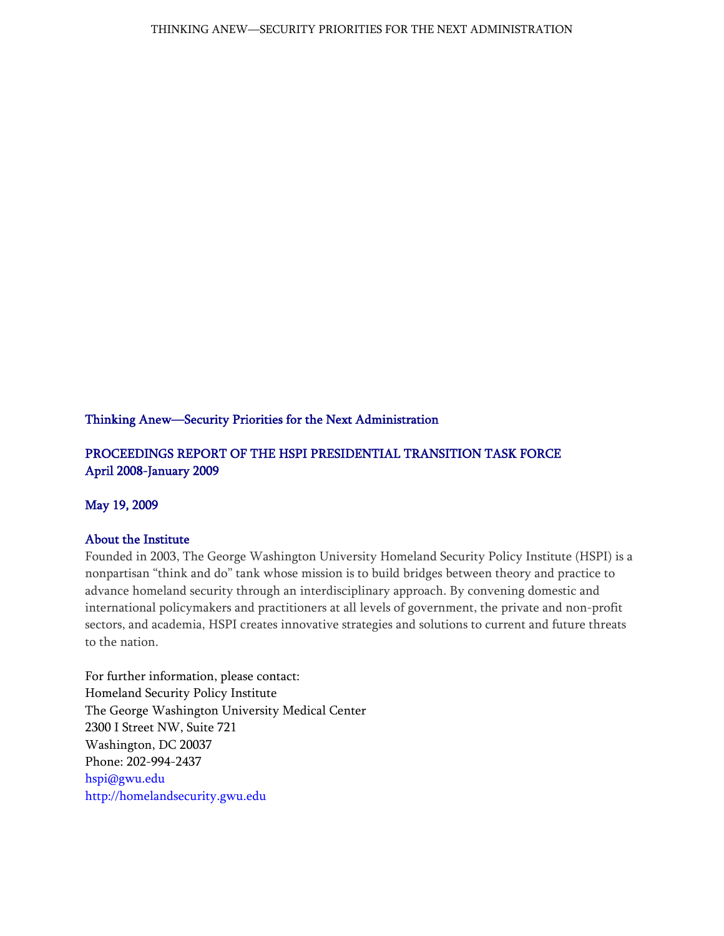### Thinking Anew—Security Priorities for the Next Administration

## PROCEEDINGS REPORT OF THE HSPI PRESIDENTIAL TRANSITION TASK FORCE April 2008-January 2009

### May 19, 2009

### About the Institute

Founded in 2003, The George Washington University Homeland Security Policy Institute (HSPI) is a nonpartisan "think and do" tank whose mission is to build bridges between theory and practice to advance homeland security through an interdisciplinary approach. By convening domestic and international policymakers and practitioners at all levels of government, the private and non-profit sectors, and academia, HSPI creates innovative strategies and solutions to current and future threats to the nation.

For further information, please contact: Homeland Security Policy Institute The George Washington University Medical Center 2300 I Street NW, Suite 721 Washington, DC 20037 Phone: 202-994-2437 hspi@gwu.edu http://homelandsecurity.gwu.edu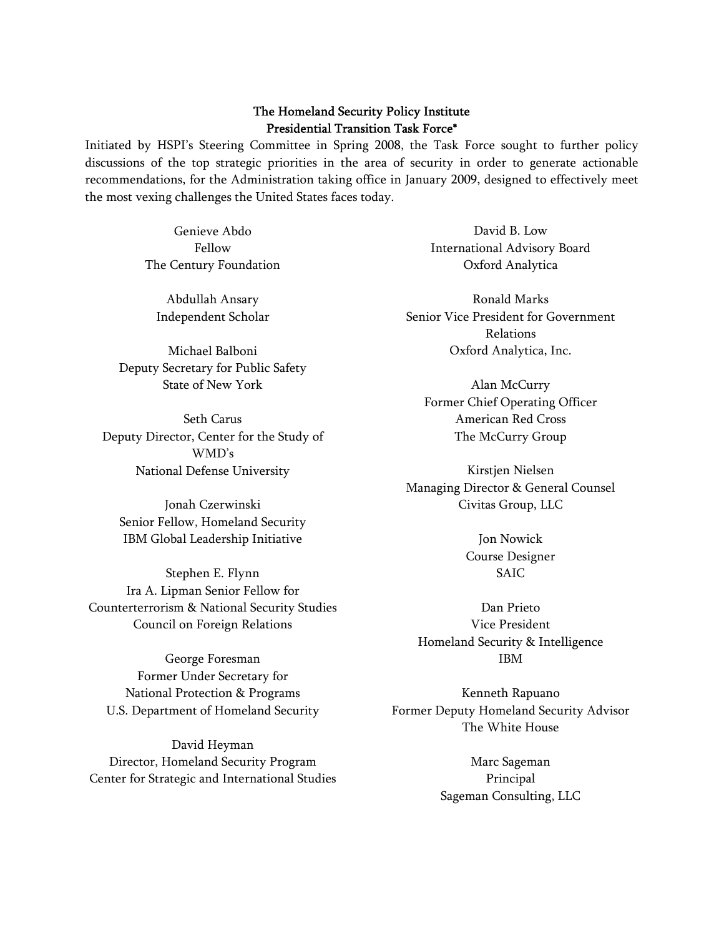### The Homeland Security Policy Institute Presidential Transition Task Force\*

Initiated by HSPI's Steering Committee in Spring 2008, the Task Force sought to further policy discussions of the top strategic priorities in the area of security in order to generate actionable recommendations, for the Administration taking office in January 2009, designed to effectively meet the most vexing challenges the United States faces today.

> Genieve Abdo Fellow The Century Foundation

Abdullah Ansary Independent Scholar

Michael Balboni Deputy Secretary for Public Safety State of New York

Seth Carus Deputy Director, Center for the Study of WMD's National Defense University

Jonah Czerwinski Senior Fellow, Homeland Security IBM Global Leadership Initiative

Stephen E. Flynn Ira A. Lipman Senior Fellow for Counterterrorism & National Security Studies Council on Foreign Relations

George Foresman Former Under Secretary for National Protection & Programs U.S. Department of Homeland Security

David Heyman Director, Homeland Security Program Center for Strategic and International Studies

David B. Low International Advisory Board Oxford Analytica

Ronald Marks Senior Vice President for Government Relations Oxford Analytica, Inc.

Alan McCurry Former Chief Operating Officer American Red Cross The McCurry Group

Kirstjen Nielsen Managing Director & General Counsel Civitas Group, LLC

> Jon Nowick Course Designer SAIC

Dan Prieto Vice President Homeland Security & Intelligence IBM

Kenneth Rapuano Former Deputy Homeland Security Advisor The White House

> Marc Sageman Principal Sageman Consulting, LLC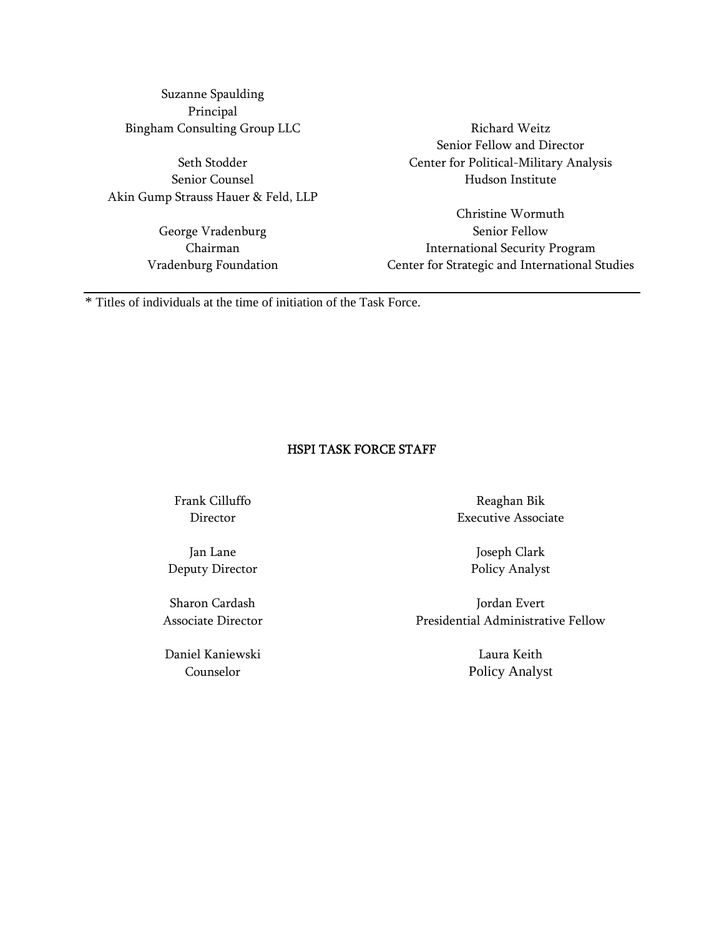Suzanne Spaulding Principal Bingham Consulting Group LLC

Seth Stodder Senior Counsel Akin Gump Strauss Hauer & Feld, LLP

> George Vradenburg Chairman Vradenburg Foundation

Richard Weitz Senior Fellow and Director Center for Political-Military Analysis Hudson Institute

Christine Wormuth Senior Fellow International Security Program Center for Strategic and International Studies

\* Titles of individuals at the time of initiation of the Task Force.

### HSPI TASK FORCE STAFF

Frank Cilluffo Director

Jan Lane Deputy Director

Sharon Cardash Associate Director

Daniel Kaniewski Counselor

Reaghan Bik Executive Associate

> Joseph Clark Policy Analyst

Jordan Evert Presidential Administrative Fellow

> Laura Keith Policy Analyst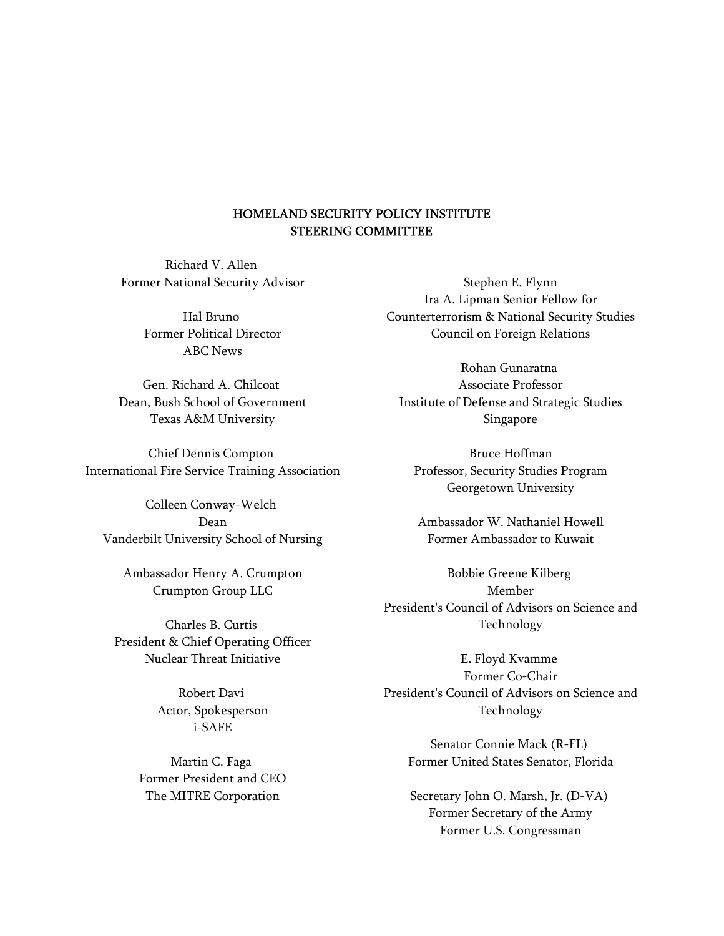### HOMELAND SECURITY POLICY INSTITUTE STEERING COMMITTEE

[Richard V. Allen](http://www.gwumc.edu/hspi/steering/r_allen_bio.htm)  Former National Security Advisor

> [Hal Bruno](http://www.gwumc.edu/hspi/steering/h_bruno_bio.htm)  Former Political Director ABC News

[Gen. Richard A. Chilcoat](http://www.gwumc.edu/hspi/steering/r_chilcoat_bio.htm)  Dean, Bush School of Government Texas A&M University

[Chief Dennis Compton](http://www.gwumc.edu/hspi/steering/d_compton_bio.htm)  International Fire Service Training Association

[Colleen Conway-Welch](http://www.gwumc.edu/hspi/steering/c_conway_bio.htm)  Dean Vanderbilt University School of Nursing

[Ambassador Henry A. Crumpton](http://www.gwumc.edu/hspi/steering/h_crumpton_bio.htm)  Crumpton Group LLC

[Charles B. Curtis](http://www.gwumc.edu/hspi/steering/c_curtis_bio.htm)  President & Chief Operating Officer Nuclear Threat Initiative

> [Robert Davi](http://www.gwumc.edu/hspi/steering/r_davi_bio.htm)  Actor, Spokesperson i-SAFE

[Martin C. Faga](http://www.gwumc.edu/hspi/steering/m_faga_bio.htm)  Former President and CEO The MITRE Corporation

[Stephen E. Flynn](http://www.cfr.org/bios/3301/stephen_e_flynn.html) Ira A. Lipman Senior Fellow for Counterterrorism & National Security Studies Council on Foreign Relations

[Rohan Gunaratna](http://www.gwumc.edu/hspi/steering/r_gunaratna_bio.htm)  Associate Professor Institute of Defense and Strategic Studies Singapore

[Bruce Hoffman](http://www.gwumc.edu/hspi/steering/b_hoffman_bio.htm)  Professor, Security Studies Program Georgetown University

[Ambassador W. Nathaniel Howell](http://www.gwumc.edu/hspi/steering/n_howell_bio.htm) Former Ambassador to Kuwait

[Bobbie Greene Kilberg](http://www.gwumc.edu/hspi/steering/b_kilberg_bio.htm)  Member President's Council of Advisors on Science and Technology

[E. Floyd Kvamme](http://www.gwumc.edu/hspi/steering/e_kvamme_bio.htm)  Former Co-Chair President's Council of Advisors on Science and Technology

[Senator Connie Mack \(R-FL\)](http://www.gwumc.edu/hspi/steering/c_mack_bio.htm)  Former United States Senator, Florida

[Secretary John O. Marsh, Jr. \(D-VA\)](http://www.gwumc.edu/hspi/steering/j_marsh_bio.htm)  Former Secretary of the Army Former U.S. Congressman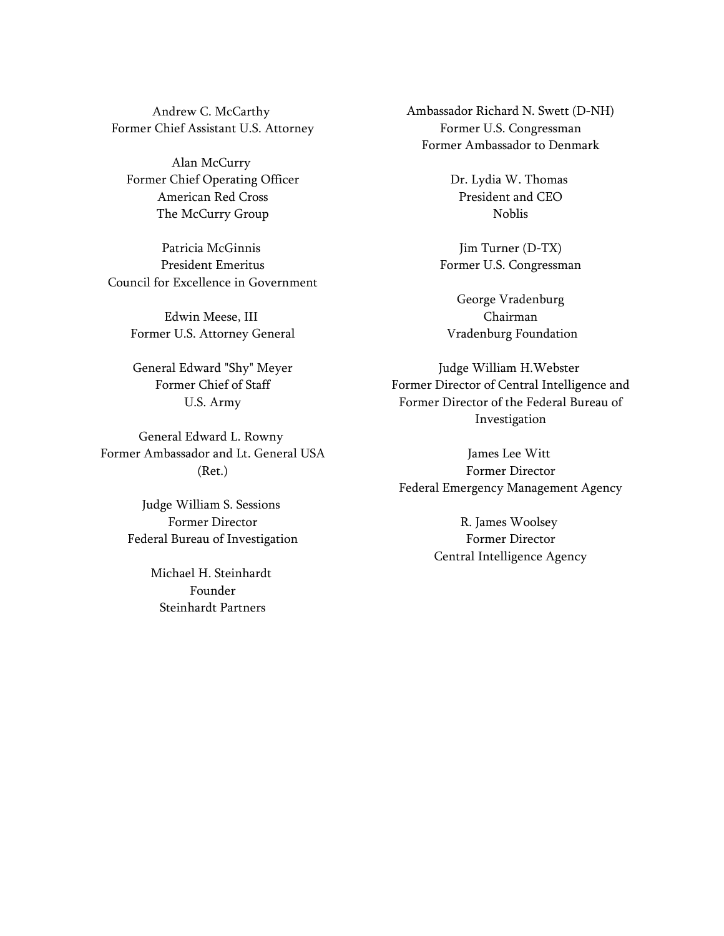[Andrew C. McCarthy](http://www.gwumc.edu/hspi/steering/a_mccarthy_bio.htm)  Former Chief Assistant U.S. Attorney

[Alan McCurry](http://www.gwumc.edu/hspi/steering/a_mccurry_bio.htm)  Former Chief Operating Officer American Red Cross The McCurry Group

[Patricia McGinnis](http://www.gwumc.edu/hspi/steering/p_mcginnis_bio.htm)  President Emeritus Council for Excellence in Government

> [Edwin Meese, III](http://www.gwumc.edu/hspi/steering/e_meese_bio.htm)  Former U.S. Attorney General

General Edward "Shy" Meyer Former Chief of Staff U.S. Army

[General Edward L. Rowny](http://www.gwumc.edu/hspi/steering/e_rowny_bio.htm)  Former Ambassador and Lt. General USA (Ret.)

> [Judge William S. Sessions](http://www.gwumc.edu/hspi/steering/w_sessions_bio.htm)  Former Director Federal Bureau of Investigation

> > [Michael H. Steinhardt](http://www.gwumc.edu/hspi/steering/m_steinhardt_bio.htm)  Founder Steinhardt Partners

[Ambassador Richard N. Swett \(D-NH\)](http://www.gwumc.edu/hspi/steering/r_swett_bio.htm) Former U.S. Congressman Former Ambassador to Denmark

> [Dr. Lydia W. Thomas](http://www.gwumc.edu/hspi/steering/l_thomas_bio.htm)  President and CEO Noblis

[Jim Turner \(D-TX\)](http://www.gwumc.edu/hspi/steering/j_turner_bio.htm) Former U.S. Congressman

[George Vradenburg](http://www.gwumc.edu/hspi/steering/g_vradenburg_bio.htm) Chairman Vradenburg Foundation

[Judge William H.Webster](http://www.gwumc.edu/hspi/steering/w_webster_bio.htm)  Former Director of Central Intelligence and Former Director of the Federal Bureau of Investigation

[James Lee Witt](http://www.gwumc.edu/hspi/steering/j_witt_bio.htm)  Former Director Federal Emergency Management Agency

> [R. James Woolsey](http://www.gwumc.edu/hspi/steering/r_woolsey_bio.htm)  Former Director Central Intelligence Agency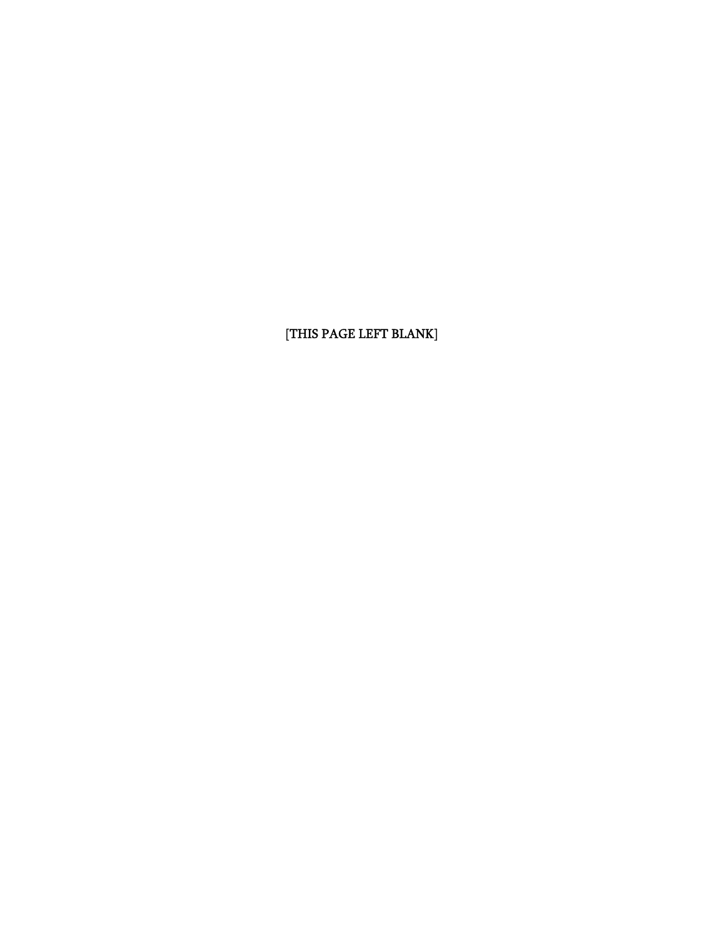[THIS PAGE LEFT BLANK]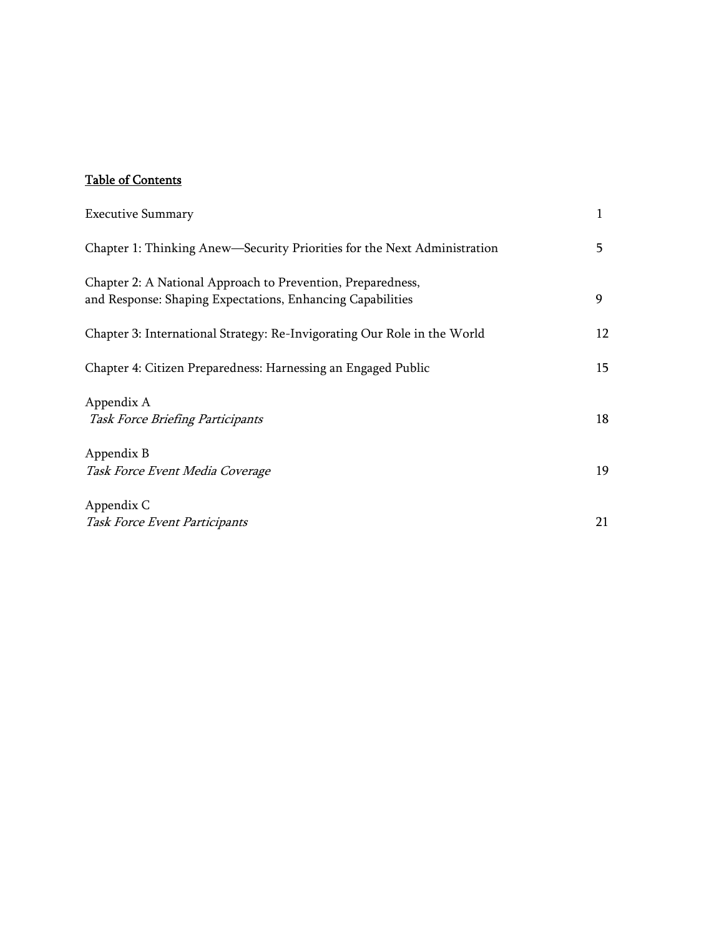## Table of Contents

| <b>Executive Summary</b>                                                                                                  |    |
|---------------------------------------------------------------------------------------------------------------------------|----|
| Chapter 1: Thinking Anew—Security Priorities for the Next Administration                                                  | 5. |
| Chapter 2: A National Approach to Prevention, Preparedness,<br>and Response: Shaping Expectations, Enhancing Capabilities | 9  |
| Chapter 3: International Strategy: Re-Invigorating Our Role in the World                                                  | 12 |
| Chapter 4: Citizen Preparedness: Harnessing an Engaged Public                                                             | 15 |
| Appendix A<br>Task Force Briefing Participants                                                                            | 18 |
| Appendix B<br>Task Force Event Media Coverage                                                                             | 19 |
| Appendix C<br>Task Force Event Participants                                                                               | 21 |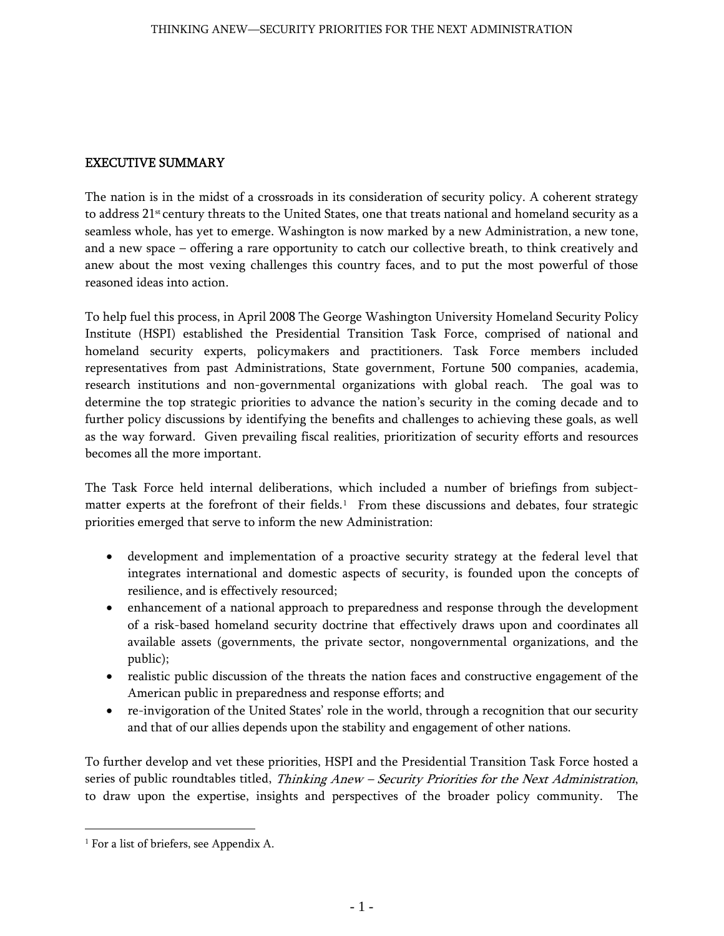### EXECUTIVE SUMMARY

The nation is in the midst of a crossroads in its consideration of security policy. A coherent strategy to address  $21<sup>st</sup>$  century threats to the United States, one that treats national and homeland security as a seamless whole, has yet to emerge. Washington is now marked by a new Administration, a new tone, and a new space – offering a rare opportunity to catch our collective breath, to think creatively and anew about the most vexing challenges this country faces, and to put the most powerful of those reasoned ideas into action.

To help fuel this process, in April 2008 The George Washington University Homeland Security Policy Institute (HSPI) established the Presidential Transition Task Force, comprised of national and homeland security experts, policymakers and practitioners. Task Force members included representatives from past Administrations, State government, Fortune 500 companies, academia, research institutions and non-governmental organizations with global reach. The goal was to determine the top strategic priorities to advance the nation's security in the coming decade and to further policy discussions by identifying the benefits and challenges to achieving these goals, as well as the way forward. Given prevailing fiscal realities, prioritization of security efforts and resources becomes all the more important.

The Task Force held internal deliberations, which included a number of briefings from subject-matter experts at the forefront of their fields.<sup>[1](#page-9-0)</sup> From these discussions and debates, four strategic priorities emerged that serve to inform the new Administration:

- development and implementation of a proactive security strategy at the federal level that integrates international and domestic aspects of security, is founded upon the concepts of resilience, and is effectively resourced;
- enhancement of a national approach to preparedness and response through the development of a risk-based homeland security doctrine that effectively draws upon and coordinates all available assets (governments, the private sector, nongovernmental organizations, and the public);
- realistic public discussion of the threats the nation faces and constructive engagement of the American public in preparedness and response efforts; and
- re-invigoration of the United States' role in the world, through a recognition that our security and that of our allies depends upon the stability and engagement of other nations.

To further develop and vet these priorities, HSPI and the Presidential Transition Task Force hosted a series of public roundtables titled, Thinking Anew - Security Priorities for the Next Administration, to draw upon the expertise, insights and perspectives of the broader policy community. The

 $\overline{a}$ 

<span id="page-9-0"></span><sup>&</sup>lt;sup>1</sup> For a list of briefers, see Appendix A.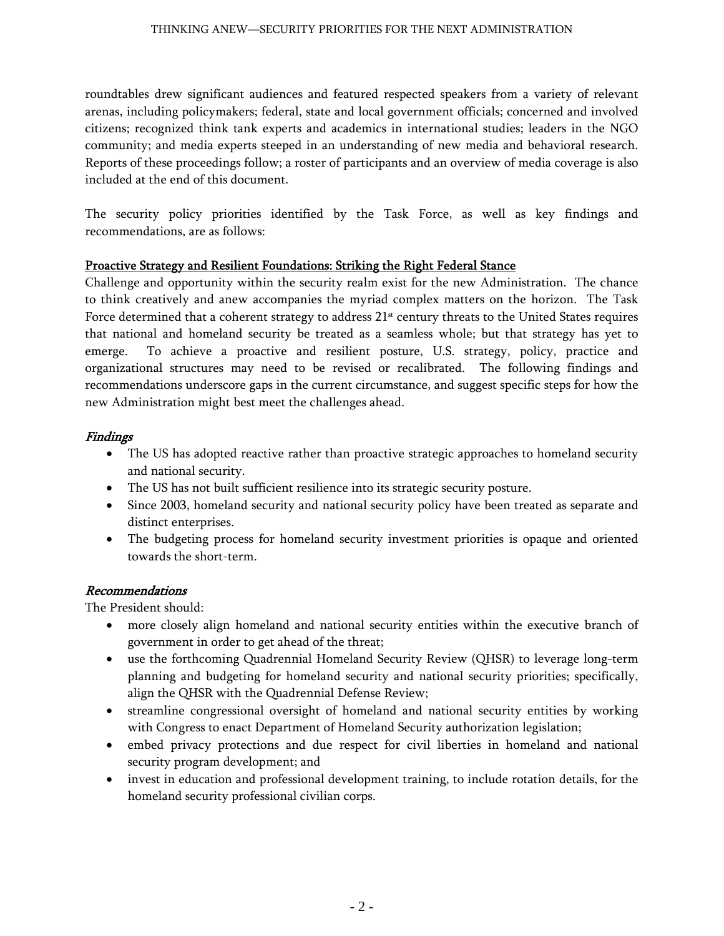roundtables drew significant audiences and featured respected speakers from a variety of relevant arenas, including policymakers; federal, state and local government officials; concerned and involved citizens; recognized think tank experts and academics in international studies; leaders in the NGO community; and media experts steeped in an understanding of new media and behavioral research. Reports of these proceedings follow; a roster of participants and an overview of media coverage is also included at the end of this document.

The security policy priorities identified by the Task Force, as well as key findings and recommendations, are as follows:

### Proactive Strategy and Resilient Foundations: Striking the Right Federal Stance

Challenge and opportunity within the security realm exist for the new Administration. The chance to think creatively and anew accompanies the myriad complex matters on the horizon. The Task Force determined that a coherent strategy to address  $21<sup>st</sup>$  century threats to the United States requires that national and homeland security be treated as a seamless whole; but that strategy has yet to emerge. To achieve a proactive and resilient posture, U.S. strategy, policy, practice and organizational structures may need to be revised or recalibrated. The following findings and recommendations underscore gaps in the current circumstance, and suggest specific steps for how the new Administration might best meet the challenges ahead.

### Findings

- The US has adopted reactive rather than proactive strategic approaches to homeland security and national security.
- The US has not built sufficient resilience into its strategic security posture.
- Since 2003, homeland security and national security policy have been treated as separate and distinct enterprises.
- The budgeting process for homeland security investment priorities is opaque and oriented towards the short-term.

### Recommendations

The President should:

- more closely align homeland and national security entities within the executive branch of government in order to get ahead of the threat;
- use the forthcoming Quadrennial Homeland Security Review (QHSR) to leverage long-term planning and budgeting for homeland security and national security priorities; specifically, align the QHSR with the Quadrennial Defense Review;
- streamline congressional oversight of homeland and national security entities by working with Congress to enact Department of Homeland Security authorization legislation;
- embed privacy protections and due respect for civil liberties in homeland and national security program development; and
- invest in education and professional development training, to include rotation details, for the homeland security professional civilian corps.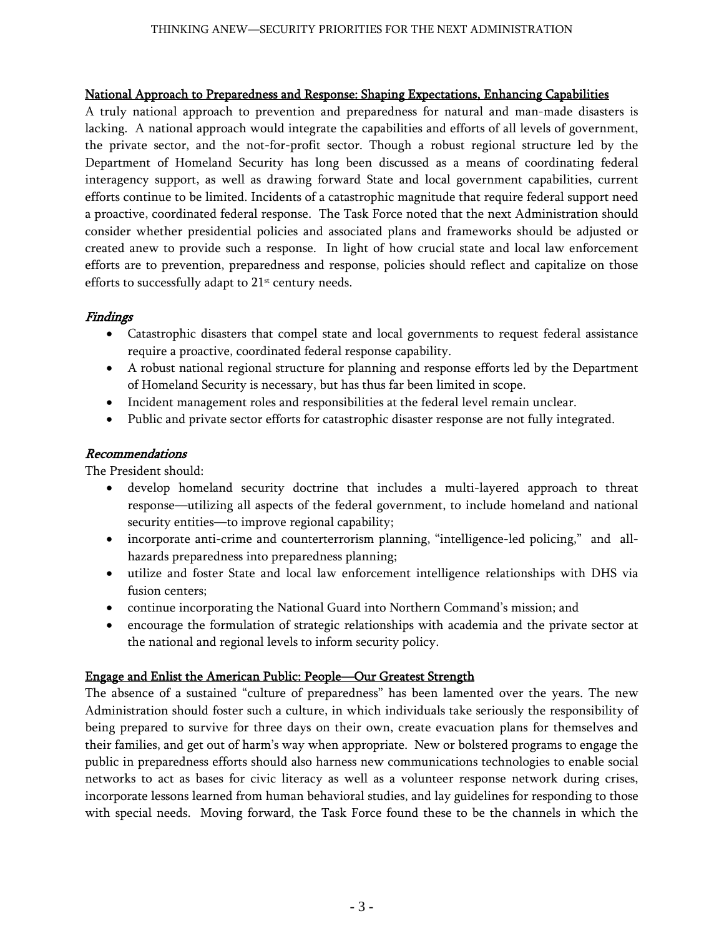### National Approach to Preparedness and Response: Shaping Expectations, Enhancing Capabilities

A truly national approach to prevention and preparedness for natural and man-made disasters is lacking. A national approach would integrate the capabilities and efforts of all levels of government, the private sector, and the not-for-profit sector. Though a robust regional structure led by the Department of Homeland Security has long been discussed as a means of coordinating federal interagency support, as well as drawing forward State and local government capabilities, current efforts continue to be limited. Incidents of a catastrophic magnitude that require federal support need a proactive, coordinated federal response. The Task Force noted that the next Administration should consider whether presidential policies and associated plans and frameworks should be adjusted or created anew to provide such a response. In light of how crucial state and local law enforcement efforts are to prevention, preparedness and response, policies should reflect and capitalize on those efforts to successfully adapt to 21<sup>st</sup> century needs.

## Findings

- Catastrophic disasters that compel state and local governments to request federal assistance require a proactive, coordinated federal response capability.
- A robust national regional structure for planning and response efforts led by the Department of Homeland Security is necessary, but has thus far been limited in scope.
- Incident management roles and responsibilities at the federal level remain unclear.
- Public and private sector efforts for catastrophic disaster response are not fully integrated.

## Recommendations

The President should:

- develop homeland security doctrine that includes a multi-layered approach to threat response—utilizing all aspects of the federal government, to include homeland and national security entities—to improve regional capability;
- incorporate anti-crime and counterterrorism planning, "intelligence-led policing," and allhazards preparedness into preparedness planning;
- utilize and foster State and local law enforcement intelligence relationships with DHS via fusion centers;
- continue incorporating the National Guard into Northern Command's mission; and
- encourage the formulation of strategic relationships with academia and the private sector at the national and regional levels to inform security policy.

## Engage and Enlist the American Public: People—Our Greatest Strength

The absence of a sustained "culture of preparedness" has been lamented over the years. The new Administration should foster such a culture, in which individuals take seriously the responsibility of being prepared to survive for three days on their own, create evacuation plans for themselves and their families, and get out of harm's way when appropriate. New or bolstered programs to engage the public in preparedness efforts should also harness new communications technologies to enable social networks to act as bases for civic literacy as well as a volunteer response network during crises, incorporate lessons learned from human behavioral studies, and lay guidelines for responding to those with special needs. Moving forward, the Task Force found these to be the channels in which the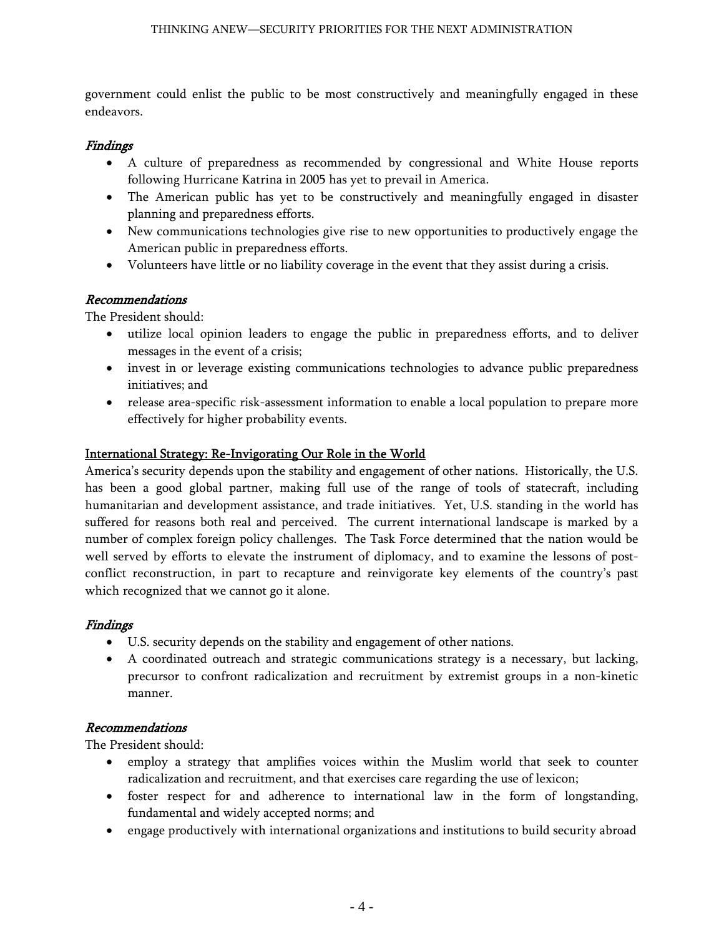government could enlist the public to be most constructively and meaningfully engaged in these endeavors.

### Findings

- A culture of preparedness as recommended by congressional and White House reports following Hurricane Katrina in 2005 has yet to prevail in America.
- The American public has yet to be constructively and meaningfully engaged in disaster planning and preparedness efforts.
- New communications technologies give rise to new opportunities to productively engage the American public in preparedness efforts.
- Volunteers have little or no liability coverage in the event that they assist during a crisis.

### Recommendations

The President should:

- utilize local opinion leaders to engage the public in preparedness efforts, and to deliver messages in the event of a crisis;
- invest in or leverage existing communications technologies to advance public preparedness initiatives; and
- release area-specific risk-assessment information to enable a local population to prepare more effectively for higher probability events.

### International Strategy: Re-Invigorating Our Role in the World

America's security depends upon the stability and engagement of other nations. Historically, the U.S. has been a good global partner, making full use of the range of tools of statecraft, including humanitarian and development assistance, and trade initiatives. Yet, U.S. standing in the world has suffered for reasons both real and perceived. The current international landscape is marked by a number of complex foreign policy challenges. The Task Force determined that the nation would be well served by efforts to elevate the instrument of diplomacy, and to examine the lessons of postconflict reconstruction, in part to recapture and reinvigorate key elements of the country's past which recognized that we cannot go it alone.

### Findings

- U.S. security depends on the stability and engagement of other nations.
- A coordinated outreach and strategic communications strategy is a necessary, but lacking, precursor to confront radicalization and recruitment by extremist groups in a non-kinetic manner.

### Recommendations

The President should:

- employ a strategy that amplifies voices within the Muslim world that seek to counter radicalization and recruitment, and that exercises care regarding the use of lexicon;
- foster respect for and adherence to international law in the form of longstanding, fundamental and widely accepted norms; and
- engage productively with international organizations and institutions to build security abroad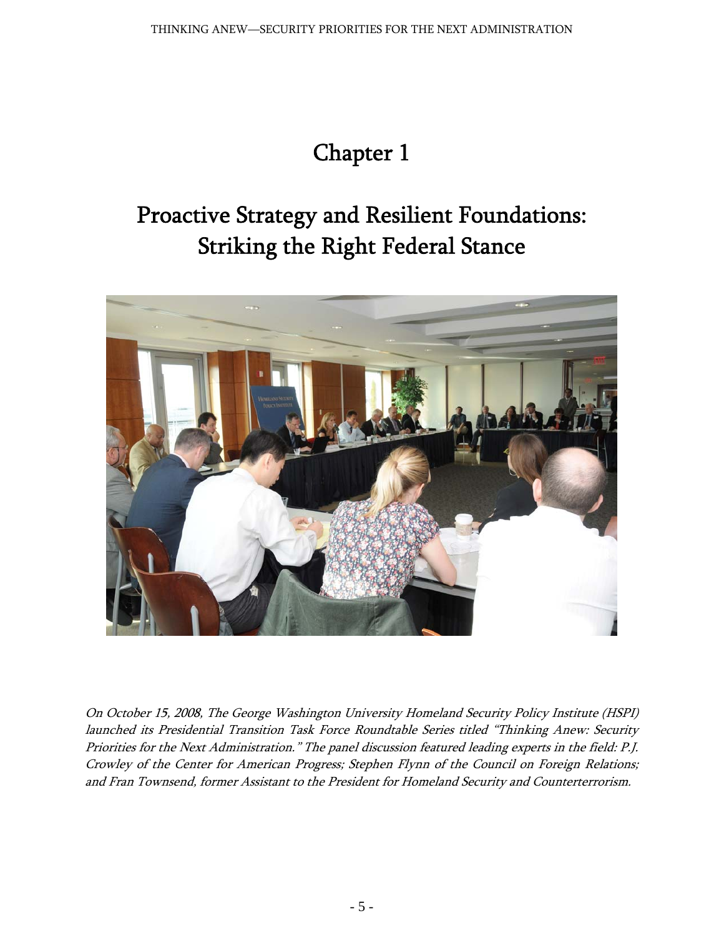# Chapter 1

# Proactive Strategy and Resilient Foundations: Striking the Right Federal Stance



On October 15, 2008, The George Washington University Homeland Security Policy Institute (HSPI) launched its Presidential Transition Task Force Roundtable Series titled "Thinking Anew: Security Priorities for the Next Administration." The panel discussion featured leading experts in the field: P.J. Crowley of the Center for American Progress; Stephen Flynn of the Council on Foreign Relations; and Fran Townsend, former Assistant to the President for Homeland Security and Counterterrorism.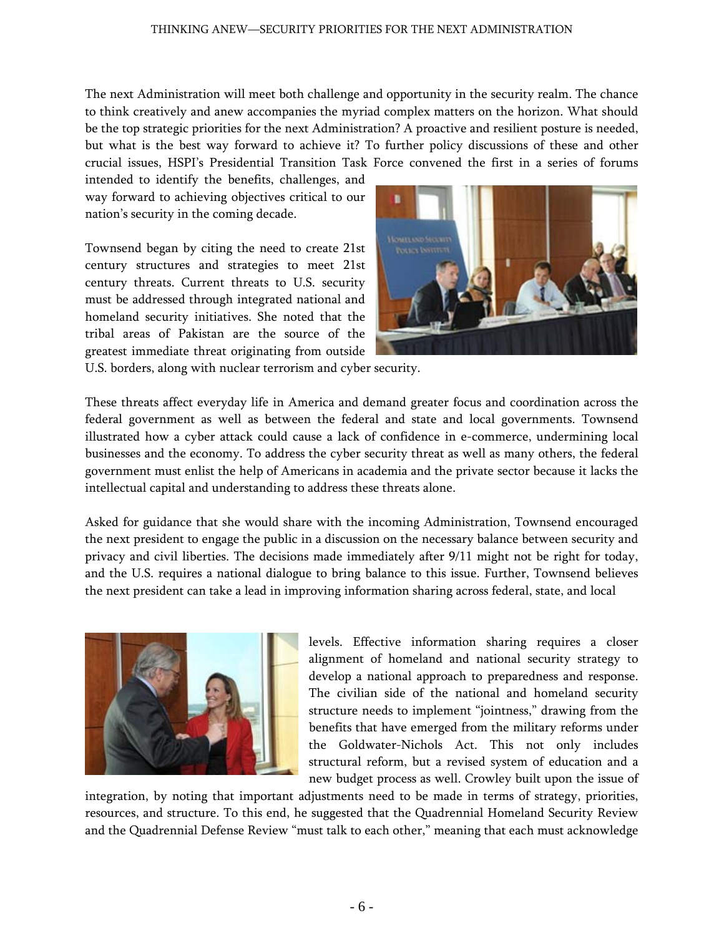The next Administration will meet both challenge and opportunity in the security realm. The chance to think creatively and anew accompanies the myriad complex matters on the horizon. What should be the top strategic priorities for the next Administration? A proactive and resilient posture is needed, but what is the best way forward to achieve it? To further policy discussions of these and other crucial issues, HSPI's Presidential Transition Task Force convened the first in a series of forums

intended to identify the benefits, challenges, and way forward to achieving objectives critical to our nation's security in the coming decade.

Townsend began by citing the need to create 21st century structures and strategies to meet 21st century threats. Current threats to U.S. security must be addressed through integrated national and homeland security initiatives. She noted that the tribal areas of Pakistan are the source of the greatest immediate threat originating from outside



U.S. borders, along with nuclear terrorism and cyber security.

These threats affect everyday life in America and demand greater focus and coordination across the federal government as well as between the federal and state and local governments. Townsend illustrated how a cyber attack could cause a lack of confidence in e-commerce, undermining local businesses and the economy. To address the cyber security threat as well as many others, the federal government must enlist the help of Americans in academia and the private sector because it lacks the intellectual capital and understanding to address these threats alone.

Asked for guidance that she would share with the incoming Administration, Townsend encouraged the next president to engage the public in a discussion on the necessary balance between security and privacy and civil liberties. The decisions made immediately after 9/11 might not be right for today, and the U.S. requires a national dialogue to bring balance to this issue. Further, Townsend believes the next president can take a lead in improving information sharing across federal, state, and local



levels. Effective information sharing requires a closer alignment of homeland and national security strategy to develop a national approach to preparedness and response. The civilian side of the national and homeland security structure needs to implement "jointness," drawing from the benefits that have emerged from the military reforms under the Goldwater-Nichols Act. This not only includes structural reform, but a revised system of education and a new budget process as well. Crowley built upon the issue of

integration, by noting that important adjustments need to be made in terms of strategy, priorities, resources, and structure. To this end, he suggested that the Quadrennial Homeland Security Review and the Quadrennial Defense Review "must talk to each other," meaning that each must acknowledge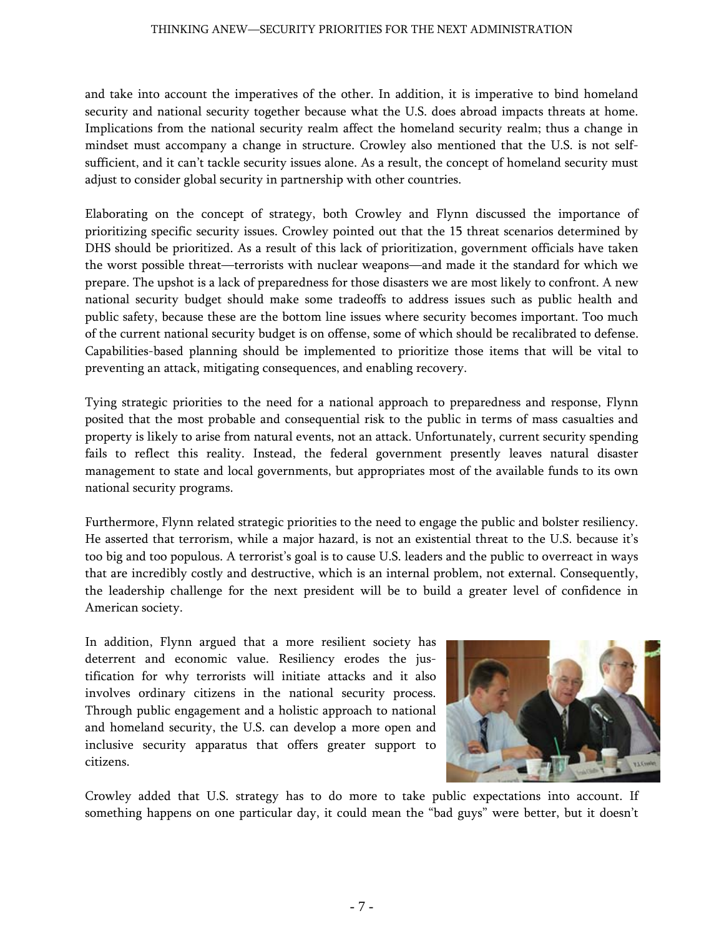and take into account the imperatives of the other. In addition, it is imperative to bind homeland security and national security together because what the U.S. does abroad impacts threats at home. Implications from the national security realm affect the homeland security realm; thus a change in mindset must accompany a change in structure. Crowley also mentioned that the U.S. is not selfsufficient, and it can't tackle security issues alone. As a result, the concept of homeland security must adjust to consider global security in partnership with other countries.

Elaborating on the concept of strategy, both Crowley and Flynn discussed the importance of prioritizing specific security issues. Crowley pointed out that the 15 threat scenarios determined by DHS should be prioritized. As a result of this lack of prioritization, government officials have taken the worst possible threat—terrorists with nuclear weapons—and made it the standard for which we prepare. The upshot is a lack of preparedness for those disasters we are most likely to confront. A new national security budget should make some tradeoffs to address issues such as public health and public safety, because these are the bottom line issues where security becomes important. Too much of the current national security budget is on offense, some of which should be recalibrated to defense. Capabilities-based planning should be implemented to prioritize those items that will be vital to preventing an attack, mitigating consequences, and enabling recovery.

Tying strategic priorities to the need for a national approach to preparedness and response, Flynn posited that the most probable and consequential risk to the public in terms of mass casualties and property is likely to arise from natural events, not an attack. Unfortunately, current security spending fails to reflect this reality. Instead, the federal government presently leaves natural disaster management to state and local governments, but appropriates most of the available funds to its own national security programs.

Furthermore, Flynn related strategic priorities to the need to engage the public and bolster resiliency. He asserted that terrorism, while a major hazard, is not an existential threat to the U.S. because it's too big and too populous. A terrorist's goal is to cause U.S. leaders and the public to overreact in ways that are incredibly costly and destructive, which is an internal problem, not external. Consequently, the leadership challenge for the next president will be to build a greater level of confidence in American society.

In addition, Flynn argued that a more resilient society has deterrent and economic value. Resiliency erodes the justification for why terrorists will initiate attacks and it also involves ordinary citizens in the national security process. Through public engagement and a holistic approach to national and homeland security, the U.S. can develop a more open and inclusive security apparatus that offers greater support to citizens.



Crowley added that U.S. strategy has to do more to take public expectations into account. If something happens on one particular day, it could mean the "bad guys" were better, but it doesn't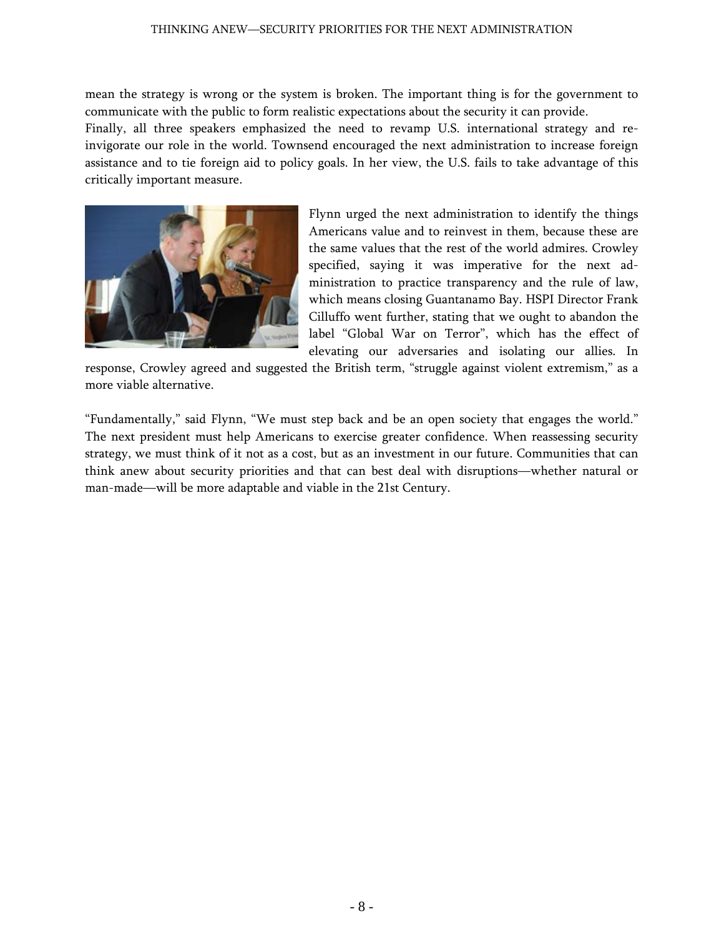mean the strategy is wrong or the system is broken. The important thing is for the government to communicate with the public to form realistic expectations about the security it can provide.

Finally, all three speakers emphasized the need to revamp U.S. international strategy and reinvigorate our role in the world. Townsend encouraged the next administration to increase foreign assistance and to tie foreign aid to policy goals. In her view, the U.S. fails to take advantage of this critically important measure.



Flynn urged the next administration to identify the things Americans value and to reinvest in them, because these are the same values that the rest of the world admires. Crowley specified, saying it was imperative for the next administration to practice transparency and the rule of law, which means closing Guantanamo Bay. HSPI Director Frank Cilluffo went further, stating that we ought to abandon the label "Global War on Terror", which has the effect of elevating our adversaries and isolating our allies. In

response, Crowley agreed and suggested the British term, "struggle against violent extremism," as a more viable alternative.

"Fundamentally," said Flynn, "We must step back and be an open society that engages the world." The next president must help Americans to exercise greater confidence. When reassessing security strategy, we must think of it not as a cost, but as an investment in our future. Communities that can think anew about security priorities and that can best deal with disruptions—whether natural or man-made—will be more adaptable and viable in the 21st Century.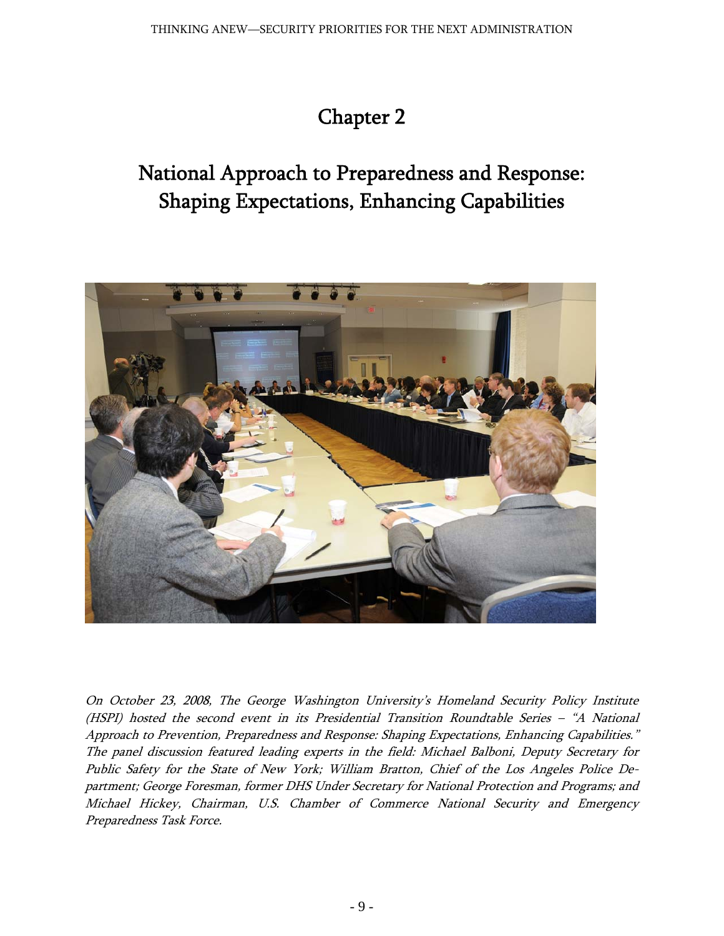# Chapter 2

## National Approach to Preparedness and Response: Shaping Expectations, Enhancing Capabilities



On October 23, 2008, The George Washington University's Homeland Security Policy Institute (HSPI) hosted the second event in its Presidential Transition Roundtable Series – "A National Approach to Prevention, Preparedness and Response: Shaping Expectations, Enhancing Capabilities." The panel discussion featured leading experts in the field: Michael Balboni, Deputy Secretary for Public Safety for the State of New York; William Bratton, Chief of the Los Angeles Police Department; George Foresman, former DHS Under Secretary for National Protection and Programs; and Michael Hickey, Chairman, U.S. Chamber of Commerce National Security and Emergency Preparedness Task Force.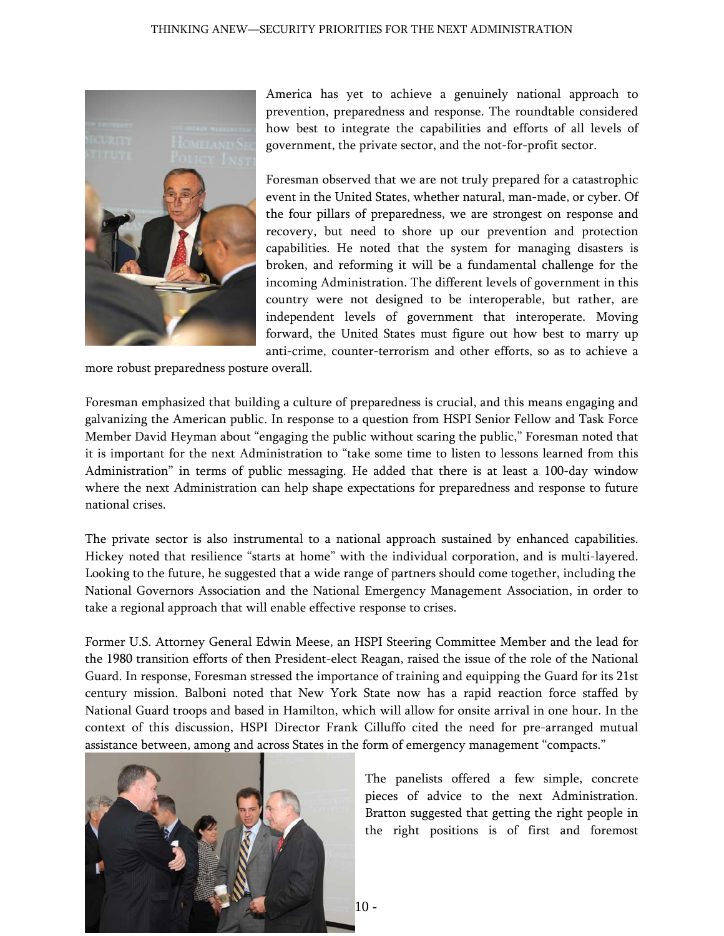

America has yet to achieve a genuinely national approach to prevention, preparedness and response. The roundtable considered how best to integrate the capabilities and efforts of all levels of government, the private sector, and the not-for-profit sector.

Foresman observed that we are not truly prepared for a catastrophic event in the United States, whether natural, man-made, or cyber. Of the four pillars of preparedness, we are strongest on response and recovery, but need to shore up our prevention and protection capabilities. He noted that the system for managing disasters is broken, and reforming it will be a fundamental challenge for the incoming Administration. The different levels of government in this country were not designed to be interoperable, but rather, are independent levels of government that interoperate. Moving forward, the United States must figure out how best to marry up anti-crime, counter-terrorism and other efforts, so as to achieve a

more robust preparedness posture overall.

Foresman emphasized that building a culture of preparedness is crucial, and this means engaging and galvanizing the American public. In response to a question from HSPI Senior Fellow and Task Force Member David Heyman about "engaging the public without scaring the public," Foresman noted that it is important for the next Administration to "take some time to listen to lessons learned from this Administration" in terms of public messaging. He added that there is at least a 100-day window where the next Administration can help shape expectations for preparedness and response to future national crises.

The private sector is also instrumental to a national approach sustained by enhanced capabilities. Hickey noted that resilience "starts at home" with the individual corporation, and is multi-layered. Looking to the future, he suggested that a wide range of partners should come together, including the National Governors Association and the National Emergency Management Association, in order to take a regional approach that will enable effective response to crises.

Former U.S. Attorney General Edwin Meese, an HSPI Steering Committee Member and the lead for the 1980 transition efforts of then President-elect Reagan, raised the issue of the role of the National Guard. In response, Foresman stressed the importance of training and equipping the Guard for its 21st century mission. Balboni noted that New York State now has a rapid reaction force staffed by National Guard troops and based in Hamilton, which will allow for onsite arrival in one hour. In the context of this discussion, HSPI Director Frank Cilluffo cited the need for pre-arranged mutual assistance between, among and across States in the form of emergency management "compacts."



The panelists offered a few simple, concrete pieces of advice to the next Administration. Bratton suggested that getting the right people in the right positions is of first and foremost

 $10 -$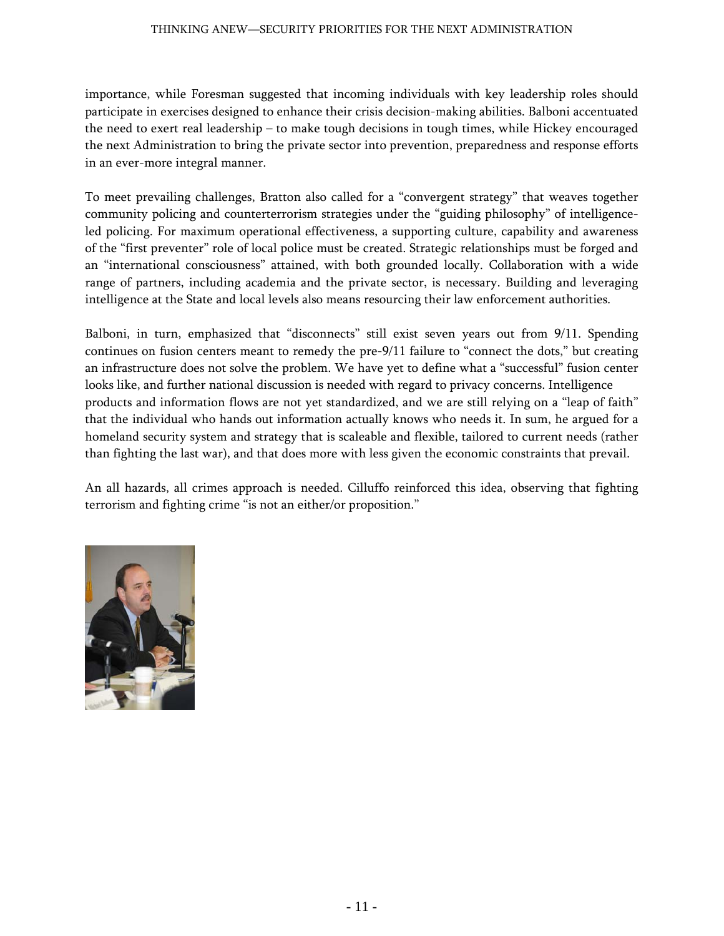importance, while Foresman suggested that incoming individuals with key leadership roles should participate in exercises designed to enhance their crisis decision-making abilities. Balboni accentuated the need to exert real leadership – to make tough decisions in tough times, while Hickey encouraged the next Administration to bring the private sector into prevention, preparedness and response efforts in an ever-more integral manner.

To meet prevailing challenges, Bratton also called for a "convergent strategy" that weaves together community policing and counterterrorism strategies under the "guiding philosophy" of intelligenceled policing. For maximum operational effectiveness, a supporting culture, capability and awareness of the "first preventer" role of local police must be created. Strategic relationships must be forged and an "international consciousness" attained, with both grounded locally. Collaboration with a wide range of partners, including academia and the private sector, is necessary. Building and leveraging intelligence at the State and local levels also means resourcing their law enforcement authorities.

Balboni, in turn, emphasized that "disconnects" still exist seven years out from 9/11. Spending continues on fusion centers meant to remedy the pre-9/11 failure to "connect the dots," but creating an infrastructure does not solve the problem. We have yet to define what a "successful" fusion center looks like, and further national discussion is needed with regard to privacy concerns. Intelligence products and information flows are not yet standardized, and we are still relying on a "leap of faith" that the individual who hands out information actually knows who needs it. In sum, he argued for a homeland security system and strategy that is scaleable and flexible, tailored to current needs (rather than fighting the last war), and that does more with less given the economic constraints that prevail.

An all hazards, all crimes approach is needed. Cilluffo reinforced this idea, observing that fighting terrorism and fighting crime "is not an either/or proposition."

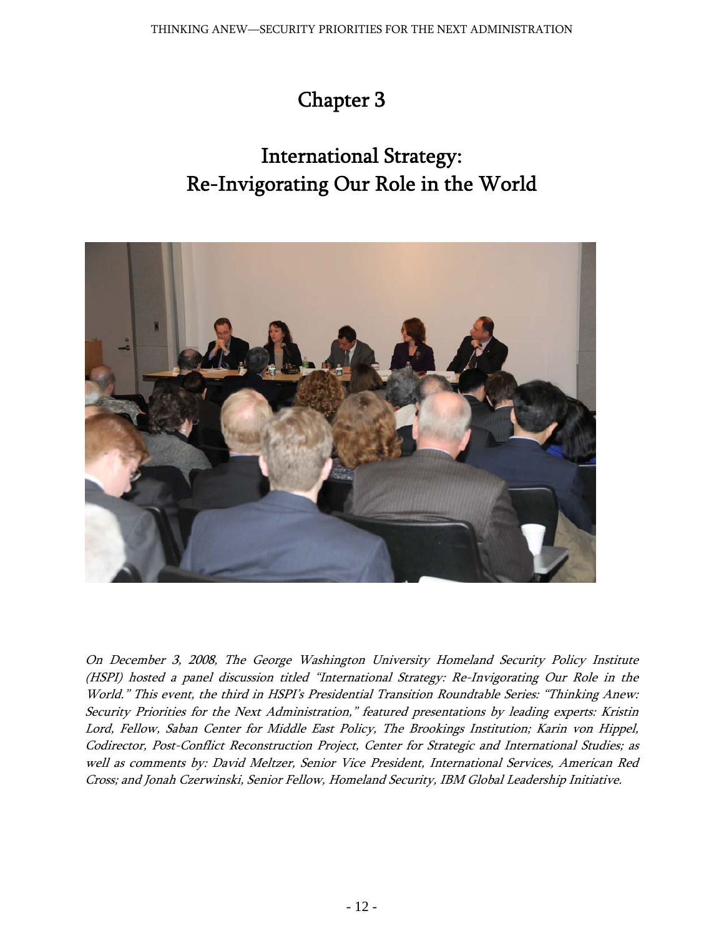## Chapter 3

## International Strategy: Re-Invigorating Our Role in the World



On December 3, 2008, The George Washington University Homeland Security Policy Institute (HSPI) hosted a panel discussion titled "International Strategy: Re-Invigorating Our Role in the World." This event, the third in HSPI's Presidential Transition Roundtable Series: "Thinking Anew: Security Priorities for the Next Administration," featured presentations by leading experts: Kristin Lord, Fellow, Saban Center for Middle East Policy, The Brookings Institution; Karin von Hippel, Codirector, Post-Conflict Reconstruction Project, Center for Strategic and International Studies; as well as comments by: David Meltzer, Senior Vice President, International Services, American Red Cross; and Jonah Czerwinski, Senior Fellow, Homeland Security, IBM Global Leadership Initiative.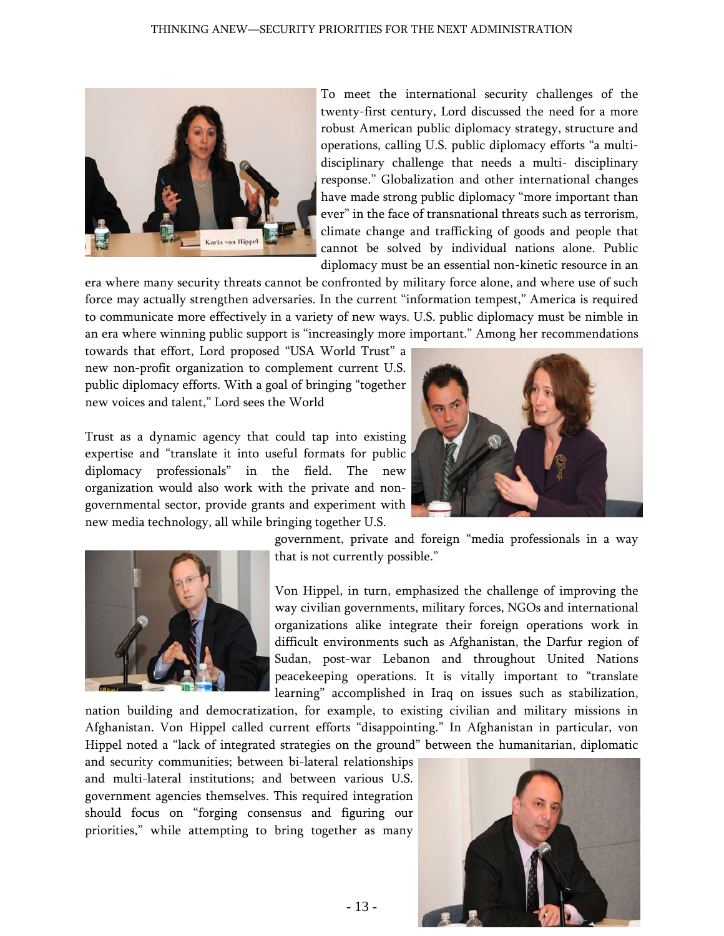

To meet the international security challenges of the twenty-first century, Lord discussed the need for a more robust American public diplomacy strategy, structure and operations, calling U.S. public diplomacy efforts "a multidisciplinary challenge that needs a multi- disciplinary response." Globalization and other international changes have made strong public diplomacy "more important than ever" in the face of transnational threats such as terrorism, climate change and trafficking of goods and people that cannot be solved by individual nations alone. Public diplomacy must be an essential non-kinetic resource in an

era where many security threats cannot be confronted by military force alone, and where use of such force may actually strengthen adversaries. In the current "information tempest," America is required to communicate more effectively in a variety of new ways. U.S. public diplomacy must be nimble in an era where winning public support is "increasingly more important." Among her recommendations

towards that effort, Lord proposed "USA World Trust" a new non-profit organization to complement current U.S. public diplomacy efforts. With a goal of bringing "together new voices and talent," Lord sees the World

Trust as a dynamic agency that could tap into existing expertise and "translate it into useful formats for public diplomacy professionals" in the field. The new organization would also work with the private and nongovernmental sector, provide grants and experiment with new media technology, all while bringing together U.S.



government, private and foreign "media professionals in a way that is not currently possible."

Von Hippel, in turn, emphasized the challenge of improving the way civilian governments, military forces, NGOs and international organizations alike integrate their foreign operations work in difficult environments such as Afghanistan, the Darfur region of Sudan, post-war Lebanon and throughout United Nations peacekeeping operations. It is vitally important to "translate learning" accomplished in Iraq on issues such as stabilization,

nation building and democratization, for example, to existing civilian and military missions in Afghanistan. Von Hippel called current efforts "disappointing." In Afghanistan in particular, von Hippel noted a "lack of integrated strategies on the ground" between the humanitarian, diplomatic

and security communities; between bi-lateral relationships and multi-lateral institutions; and between various U.S. government agencies themselves. This required integration should focus on "forging consensus and figuring our priorities," while attempting to bring together as many

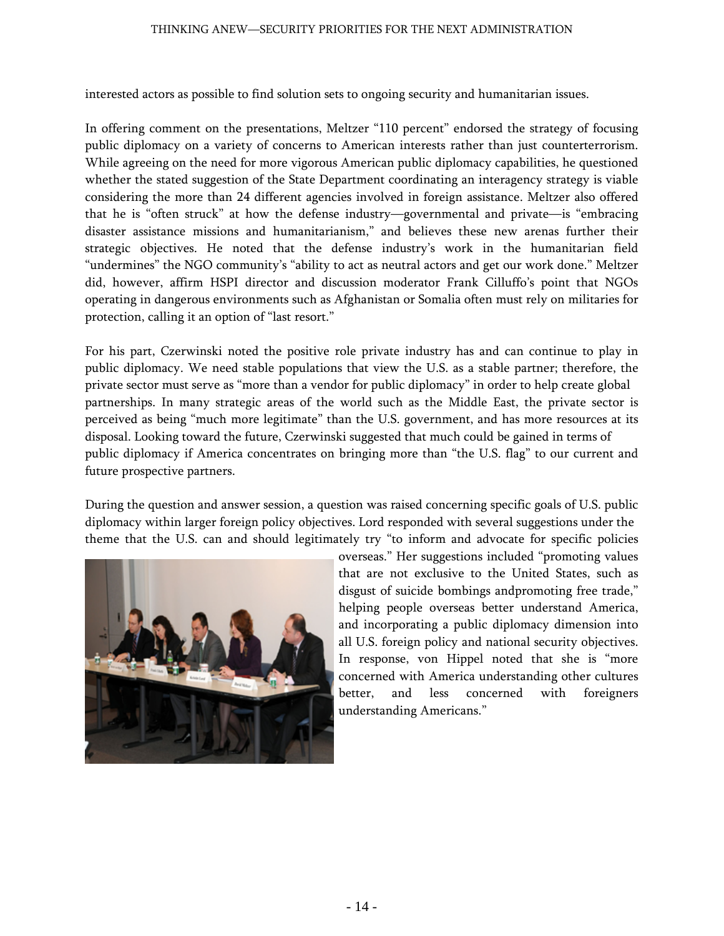interested actors as possible to find solution sets to ongoing security and humanitarian issues.

In offering comment on the presentations, Meltzer "110 percent" endorsed the strategy of focusing public diplomacy on a variety of concerns to American interests rather than just counterterrorism. While agreeing on the need for more vigorous American public diplomacy capabilities, he questioned whether the stated suggestion of the State Department coordinating an interagency strategy is viable considering the more than 24 different agencies involved in foreign assistance. Meltzer also offered that he is "often struck" at how the defense industry—governmental and private—is "embracing disaster assistance missions and humanitarianism," and believes these new arenas further their strategic objectives. He noted that the defense industry's work in the humanitarian field "undermines" the NGO community's "ability to act as neutral actors and get our work done." Meltzer did, however, affirm HSPI director and discussion moderator Frank Cilluffo's point that NGOs operating in dangerous environments such as Afghanistan or Somalia often must rely on militaries for protection, calling it an option of "last resort."

For his part, Czerwinski noted the positive role private industry has and can continue to play in public diplomacy. We need stable populations that view the U.S. as a stable partner; therefore, the private sector must serve as "more than a vendor for public diplomacy" in order to help create global partnerships. In many strategic areas of the world such as the Middle East, the private sector is perceived as being "much more legitimate" than the U.S. government, and has more resources at its disposal. Looking toward the future, Czerwinski suggested that much could be gained in terms of public diplomacy if America concentrates on bringing more than "the U.S. flag" to our current and future prospective partners.

During the question and answer session, a question was raised concerning specific goals of U.S. public diplomacy within larger foreign policy objectives. Lord responded with several suggestions under the theme that the U.S. can and should legitimately try "to inform and advocate for specific policies



overseas." Her suggestions included "promoting values that are not exclusive to the United States, such as disgust of suicide bombings andpromoting free trade," helping people overseas better understand America, and incorporating a public diplomacy dimension into all U.S. foreign policy and national security objectives. In response, von Hippel noted that she is "more concerned with America understanding other cultures better, and less concerned with foreigners understanding Americans."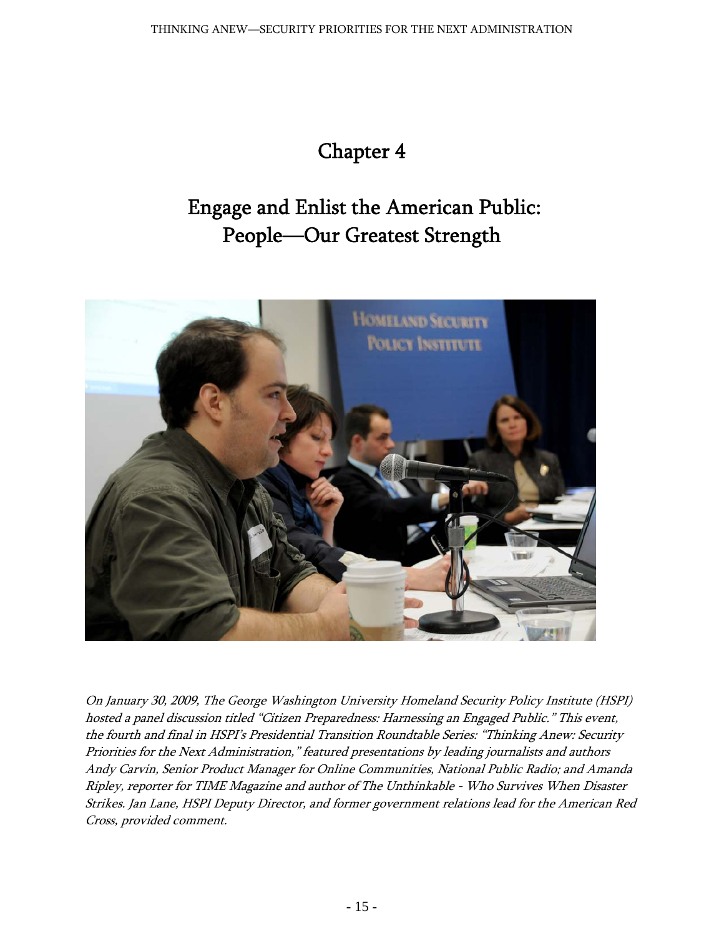## Chapter 4

## Engage and Enlist the American Public: People—Our Greatest Strength



On January 30, 2009, The George Washington University Homeland Security Policy Institute (HSPI) hosted a panel discussion titled "Citizen Preparedness: Harnessing an Engaged Public." This event, the fourth and final in HSPI's Presidential Transition Roundtable Series: "Thinking Anew: Security Priorities for the Next Administration," featured presentations by leading journalists and authors Andy Carvin, Senior Product Manager for Online Communities, National Public Radio; and Amanda Ripley, reporter for TIME Magazine and author of The Unthinkable - Who Survives When Disaster Strikes. Jan Lane, HSPI Deputy Director, and former government relations lead for the American Red Cross, provided comment.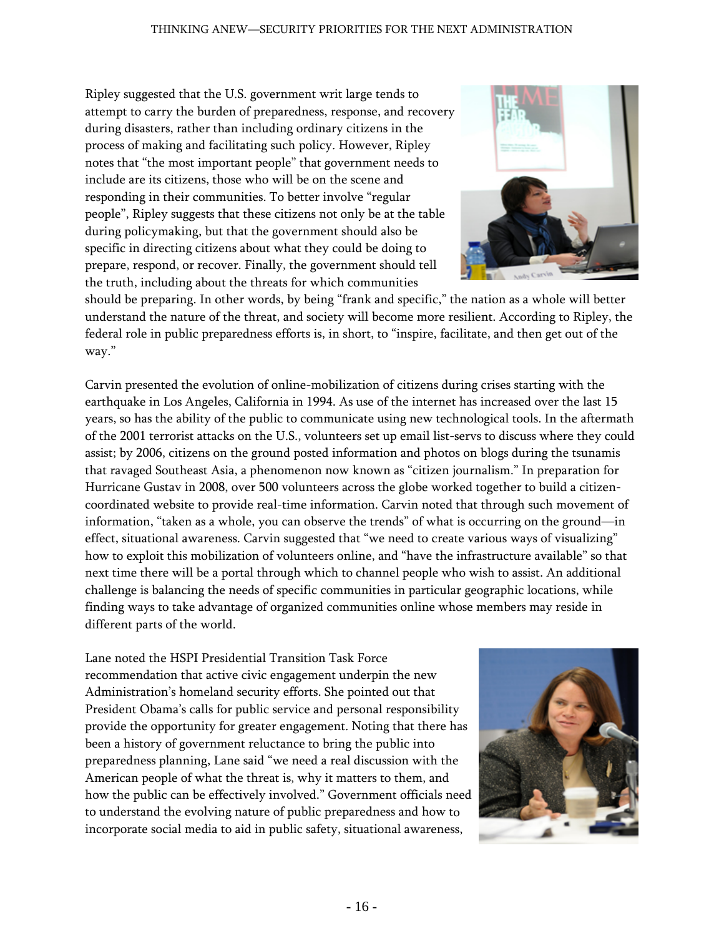Ripley suggested that the U.S. government writ large tends to attempt to carry the burden of preparedness, response, and recovery during disasters, rather than including ordinary citizens in the process of making and facilitating such policy. However, Ripley notes that "the most important people" that government needs to include are its citizens, those who will be on the scene and responding in their communities. To better involve "regular people", Ripley suggests that these citizens not only be at the table during policymaking, but that the government should also be specific in directing citizens about what they could be doing to prepare, respond, or recover. Finally, the government should tell the truth, including about the threats for which communities



should be preparing. In other words, by being "frank and specific," the nation as a whole will better understand the nature of the threat, and society will become more resilient. According to Ripley, the federal role in public preparedness efforts is, in short, to "inspire, facilitate, and then get out of the way."

Carvin presented the evolution of online-mobilization of citizens during crises starting with the earthquake in Los Angeles, California in 1994. As use of the internet has increased over the last 15 years, so has the ability of the public to communicate using new technological tools. In the aftermath of the 2001 terrorist attacks on the U.S., volunteers set up email list-servs to discuss where they could assist; by 2006, citizens on the ground posted information and photos on blogs during the tsunamis that ravaged Southeast Asia, a phenomenon now known as "citizen journalism." In preparation for Hurricane Gustav in 2008, over 500 volunteers across the globe worked together to build a citizencoordinated website to provide real-time information. Carvin noted that through such movement of information, "taken as a whole, you can observe the trends" of what is occurring on the ground—in effect, situational awareness. Carvin suggested that "we need to create various ways of visualizing" how to exploit this mobilization of volunteers online, and "have the infrastructure available" so that next time there will be a portal through which to channel people who wish to assist. An additional challenge is balancing the needs of specific communities in particular geographic locations, while finding ways to take advantage of organized communities online whose members may reside in different parts of the world.

Lane noted the HSPI Presidential Transition Task Force recommendation that active civic engagement underpin the new Administration's homeland security efforts. She pointed out that President Obama's calls for public service and personal responsibility provide the opportunity for greater engagement. Noting that there has been a history of government reluctance to bring the public into preparedness planning, Lane said "we need a real discussion with the American people of what the threat is, why it matters to them, and how the public can be effectively involved." Government officials nee d to understand the evolving nature of public preparedness and how t o incorporate social media to aid in public safety, situational awareness,

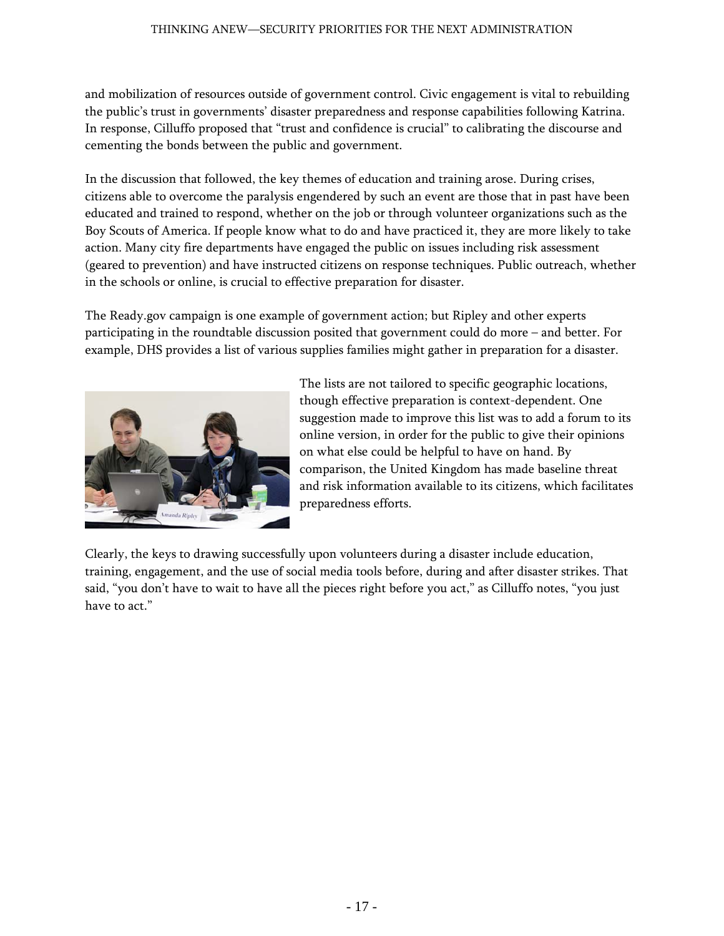and mobilization of resources outside of government control. Civic engagement is vital to rebuilding the public's trust in governments' disaster preparedness and response capabilities following Katrina. In response, Cilluffo proposed that "trust and confidence is crucial" to calibrating the discourse and cementing the bonds between the public and government.

In the discussion that followed, the key themes of education and training arose. During crises, citizens able to overcome the paralysis engendered by such an event are those that in past have been educated and trained to respond, whether on the job or through volunteer organizations such as the Boy Scouts of America. If people know what to do and have practiced it, they are more likely to take action. Many city fire departments have engaged the public on issues including risk assessment (geared to prevention) and have instructed citizens on response techniques. Public outreach, whether in the schools or online, is crucial to effective preparation for disaster.

The Ready.gov campaign is one example of government action; but Ripley and other experts participating in the roundtable discussion posited that government could do more – and better. For example, DHS provides a list of various supplies families might gather in preparation for a disaster.



The lists are not tailored to specific geographic locations, though effective preparation is context-dependent. One suggestion made to improve this list was to add a forum to its online version, in order for the public to give their opinions on what else could be helpful to have on hand. By comparison, the United Kingdom has made baseline thr eat and risk information available to its citizens, which fa cilitates preparedness efforts.

Clearly, the keys to drawing successfully upon volunteers during a disaster include education, training, engagement, and the use of social media tools before, during and after disaster strikes. That said, "you don't have to wait to have all the pieces right before you act," as Cilluffo notes, "you just have to act."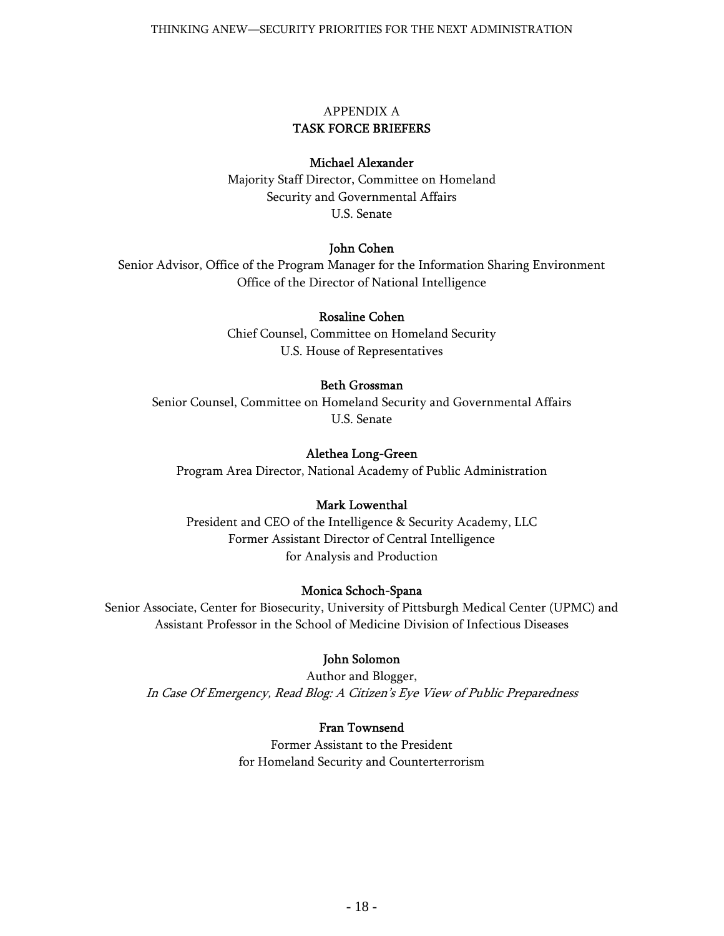## APPENDIX A TASK FORCE BRIEFERS

### Michael Alexander

Majority Staff Director, Committee on Homeland Security and Governmental Affairs U.S. Senate

### John Cohen

Senior Advisor, Office of the Program Manager for the Information Sharing Environment Office of the Director of National Intelligence

### Rosaline Cohen

Chief Counsel, Committee on Homeland Security U.S. House of Representatives

### Beth Grossman

Senior Counsel, Committee on Homeland Security and Governmental Affairs U.S. Senate

### Alethea Long-Green

Program Area Director, National Academy of Public Administration

### Mark Lowenthal

President and CEO of the Intelligence & Security Academy, LLC Former Assistant Director of Central Intelligence for Analysis and Production

### Monica Schoch-Spana

Senior Associate, Center for Biosecurity, University of Pittsburgh Medical Center (UPMC) and Assistant Professor in the School of Medicine Division of Infectious Diseases

### John Solomon

Author and Blogger, In Case Of Emergency, Read Blog: A Citizen's Eye View of Public Preparedness

### Fran Townsend

Former Assistant to the President for Homeland Security and Counterterrorism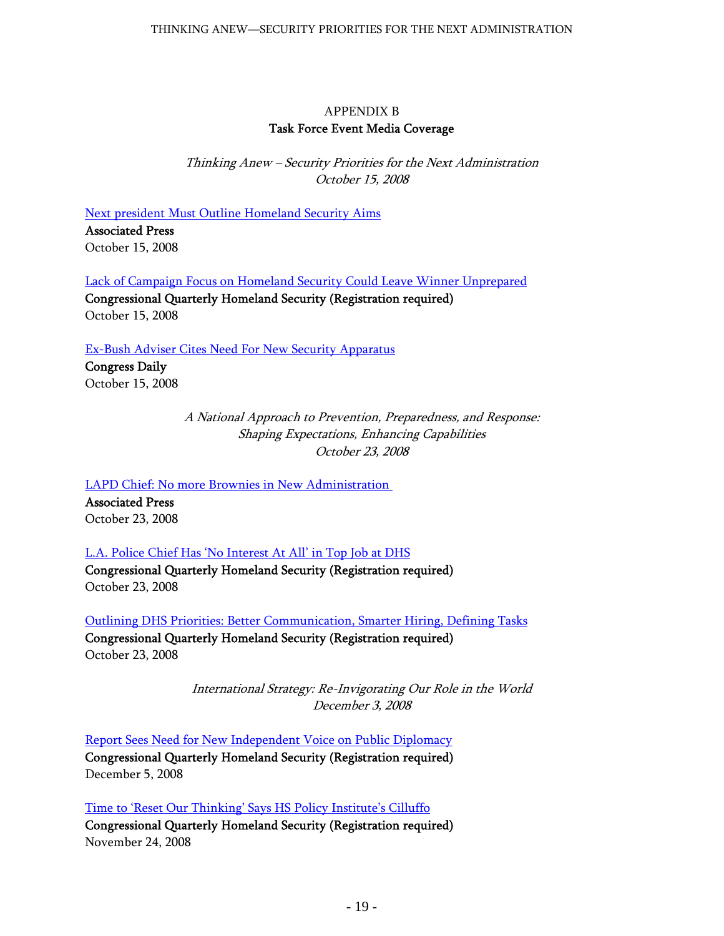## APPENDIX B Task Force Event Media Coverage

Thinking Anew – Security Priorities for the Next Administration October 15, 2008

[Next president Must Outline Homeland Security Aims](http://news.yahoo.com/s/ap/20081015/ap_on_el_pr/campaign_homeland_security)

Associated Press October 15, 2008

[Lack of Campaign Focus on Homeland Security Could Leave Winner Unprepared](http://homeland.cq.com/hs/display.do?docid=2975336&sourcetype=31&binderName=news-all)

Congressional Quarterly Homeland Security (Registration required) October 15, 2008

[Ex-Bush Adviser Cites Need For New Security Apparatus](http://www.nationaljournal.com/congressdaily/cdp_20081015_8843.php?related=true&story1=cdp_20081015_8843&story2=cdp_20081008_9143&story3=cda_20080924_1098)

Congress Daily October 15, 2008

> A National Approach to Prevention, Preparedness, and Response: Shaping Expectations, Enhancing Capabilities October 23, 2008

[LAPD Chief: No more Brownies in New Administration](http://www.sfgate.com/cgi-bin/article.cgi?f=/n/a/2008/10/23/state/n153421D16.DTL&type=politics) 

Associated Press October 23, 2008

[L.A. Police Chief Has 'No Interest At All' in Top Job at DHS](http://homeland.cq.com/hs/display.do?docid=2978498&sourcetype=31&binderName=news-all)

Congressional Quarterly Homeland Security (Registration required) October 23, 2008

[Outlining DHS Priorities: Better Communication, Smarter Hiring, Defining Tasks](http://homeland.cq.com/hs/display.do?docid=2978564&sourcetype=31) Congressional Quarterly Homeland Security (Registration required) October 23, 2008

> International Strategy: Re-Invigorating Our Role in the World December 3, 2008

[Report Sees Need for New Independent Voice on Public Diplomacy](http://www.cqpolitics.com/wmspage.cfm?docID=hsnews-000002993904) Congressional Quarterly Homeland Security (Registration required) December 5, 2008

[Time to 'Reset Our Thinking' Says HS Policy Institute's Cilluffo](http://www.cqpolitics.com/wmspage.cfm?docID=hsnews-000002990767) 

Congressional Quarterly Homeland Security (Registration required) November 24, 2008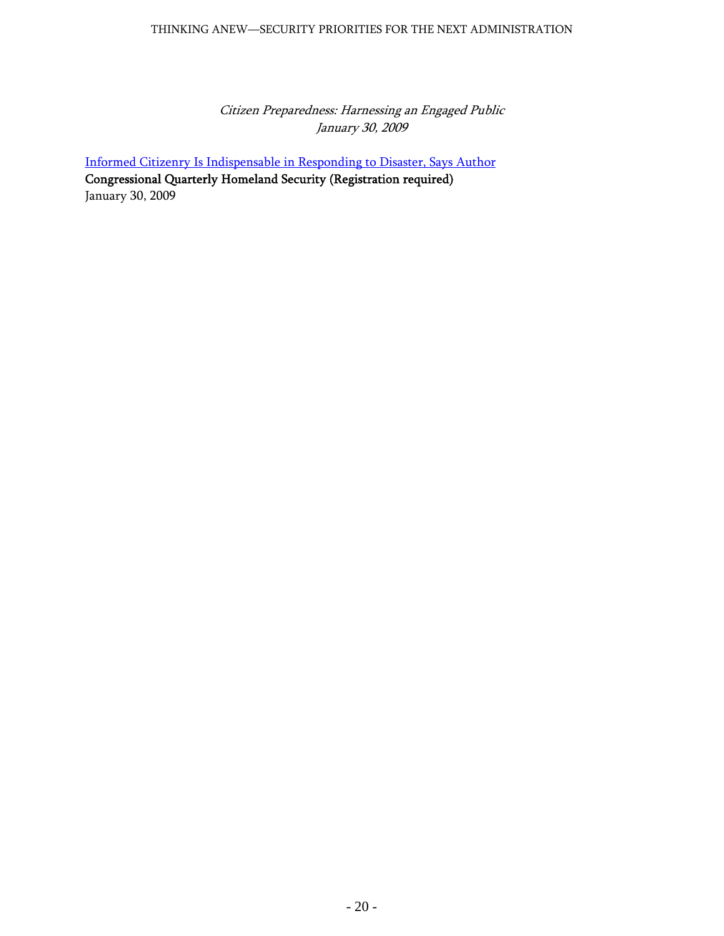Citizen Preparedness: Harnessing an Engaged Public January 30, 2009

[Informed Citizenry Is Indispensable in Responding to Disaster, Says Author](http://homeland.cq.com/hs/display.do?docid=3021987&sourcetype=31&binderName=news-all)

Congressional Quarterly Homeland Security (Registration required) January 30, 2009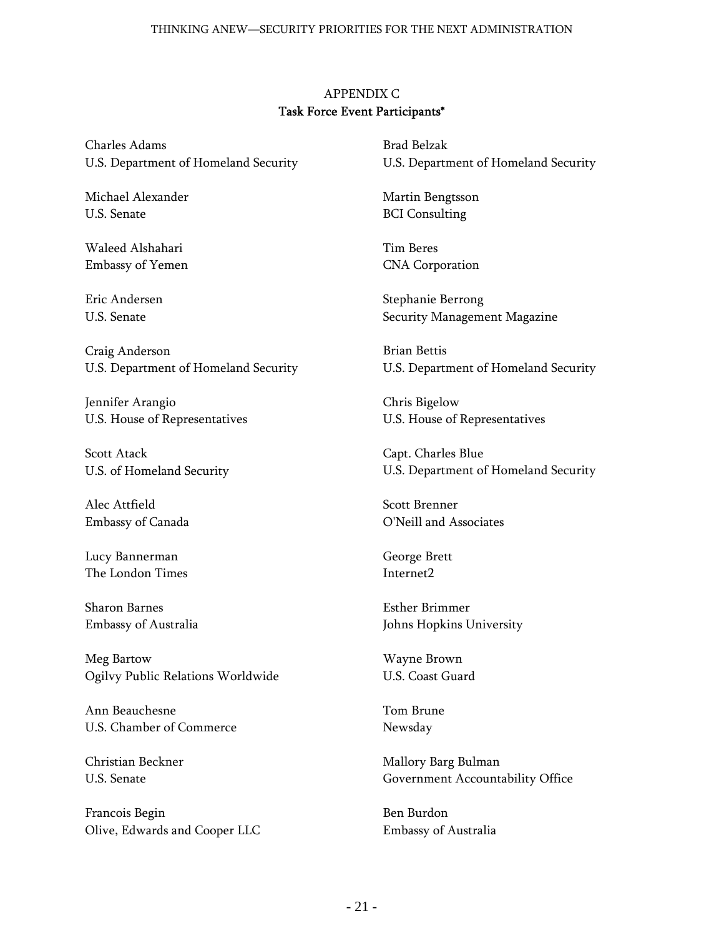## APPENDIX C Task Force Event Participants\*

Charles Adams U.S. Department of Homeland Security

Michael Alexander U.S. Senate

Waleed Alshahari Embassy of Yemen

Eric Andersen U.S. Senate

Craig Anderson U.S. Department of Homeland Security

Jennifer Arangio U.S. House of Representatives

Scott Atack U.S. of Homeland Security

Alec Attfield Embassy of Canada

Lucy Bannerman The London Times

Sharon Barnes Embassy of Australia

Meg Bartow Ogilvy Public Relations Worldwide

Ann Beauchesne U.S. Chamber of Commerce

Christian Beckner U.S. Senate

Francois Begin Olive, Edwards and Cooper LLC Brad Belzak U.S. Department of Homeland Security

Martin Bengtsson BCI Consulting

Tim Beres CNA Corporation

Stephanie Berrong Security Management Magazine

Brian Bettis U.S. Department of Homeland Security

Chris Bigelow U.S. House of Representatives

Capt. Charles Blue U.S. Department of Homeland Security

Scott Brenner O'Neill and Associates

George Brett Internet2

Esther Brimmer Johns Hopkins University

Wayne Brown U.S. Coast Guard

Tom Brune Newsday

Mallory Barg Bulman Government Accountability Office

Ben Burdon Embassy of Australia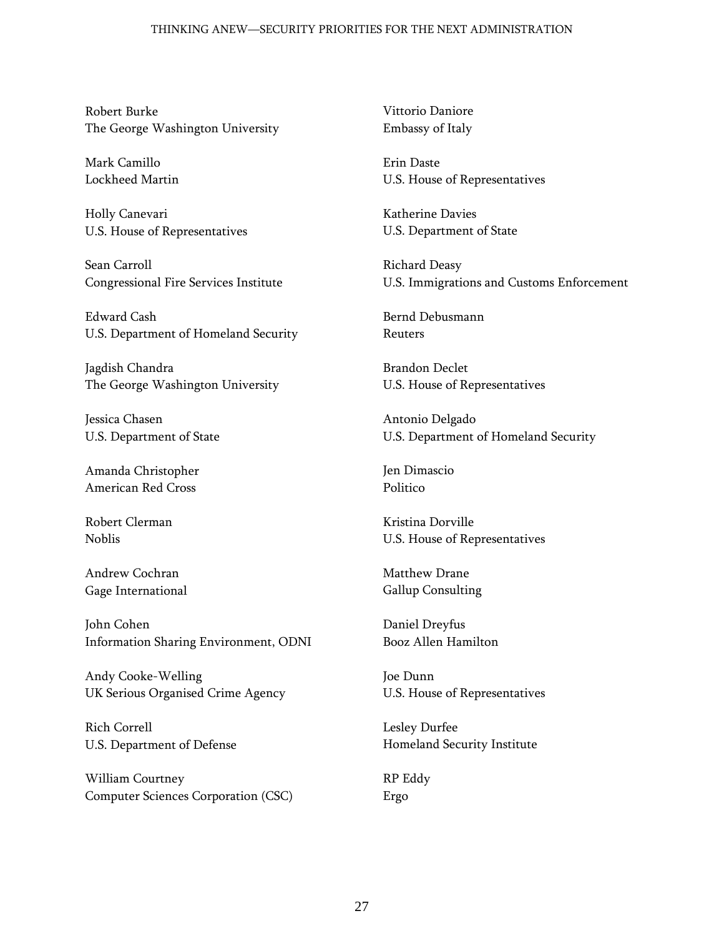Robert Burke The George Washington University

Mark Camillo Lockheed Martin

Holly Canevari U.S. House of Representatives

Sean Carroll Congressional Fire Services Institute

Edward Cash U.S. Department of Homeland Security

Jagdish Chandra The George Washington University

Jessica Chasen U.S. Department of State

Amanda Christopher American Red Cross

Robert Clerman Noblis

Andrew Cochran Gage International

John Cohen Information Sharing Environment, ODNI

Andy Cooke-Welling UK Serious Organised Crime Agency

Rich Correll U.S. Department of Defense

William Courtney Computer Sciences Corporation (CSC) Vittorio Daniore Embassy of Italy

Erin Daste U.S. House of Representatives

Katherine Davies U.S. Department of State

Richard Deasy U.S. Immigrations and Customs Enforcement

Bernd Debusmann Reuters

Brandon Declet U.S. House of Representatives

Antonio Delgado U.S. Department of Homeland Security

Jen Dimascio Politico

Kristina Dorville U.S. House of Representatives

Matthew Drane Gallup Consulting

Daniel Dreyfus Booz Allen Hamilton

Joe Dunn U.S. House of Representatives

Lesley Durfee Homeland Security Institute

RP Eddy Ergo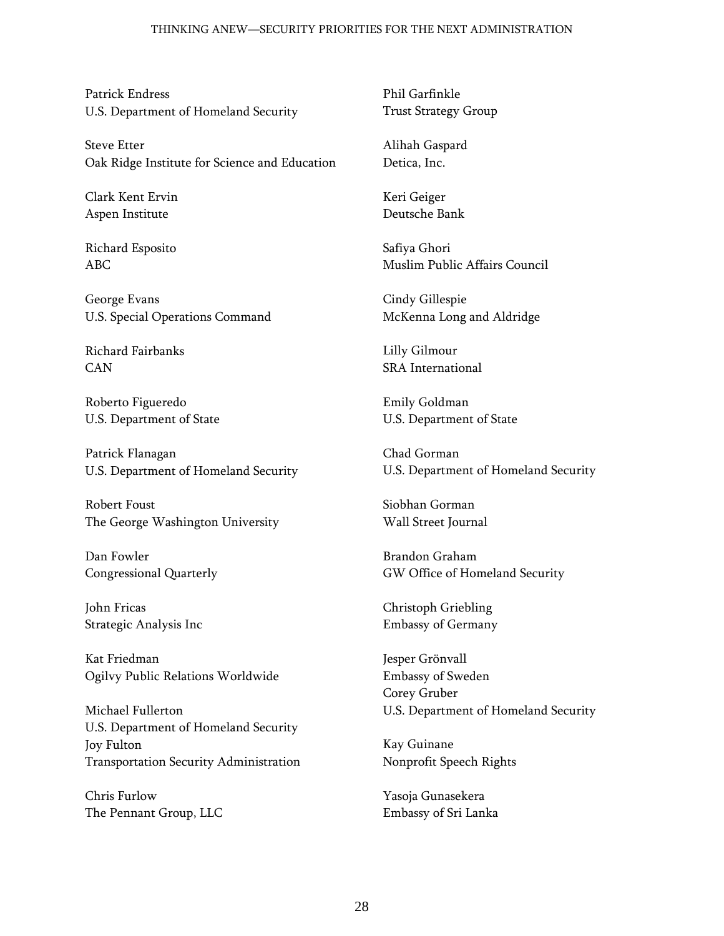Patrick Endress U.S. Department of Homeland Security

Steve Etter Oak Ridge Institute for Science and Education

Clark Kent Ervin Aspen Institute

Richard Esposito ABC

George Evans U.S. Special Operations Command

Richard Fairbanks CAN

Roberto Figueredo U.S. Department of State

Patrick Flanagan U.S. Department of Homeland Security

Robert Foust The George Washington University

Dan Fowler Congressional Quarterly

John Fricas Strategic Analysis Inc

Kat Friedman Ogilvy Public Relations Worldwide

Michael Fullerton U.S. Department of Homeland Security Joy Fulton Transportation Security Administration

Chris Furlow The Pennant Group, LLC Phil Garfinkle Trust Strategy Group

Alihah Gaspard Detica, Inc.

Keri Geiger Deutsche Bank

Safiya Ghori Muslim Public Affairs Council

Cindy Gillespie McKenna Long and Aldridge

Lilly Gilmour SRA International

Emily Goldman U.S. Department of State

Chad Gorman U.S. Department of Homeland Security

Siobhan Gorman Wall Street Journal

Brandon Graham GW Office of Homeland Security

Christoph Griebling Embassy of Germany

Jesper Grönvall Embassy of Sweden Corey Gruber U.S. Department of Homeland Security

Kay Guinane Nonprofit Speech Rights

Yasoja Gunasekera Embassy of Sri Lanka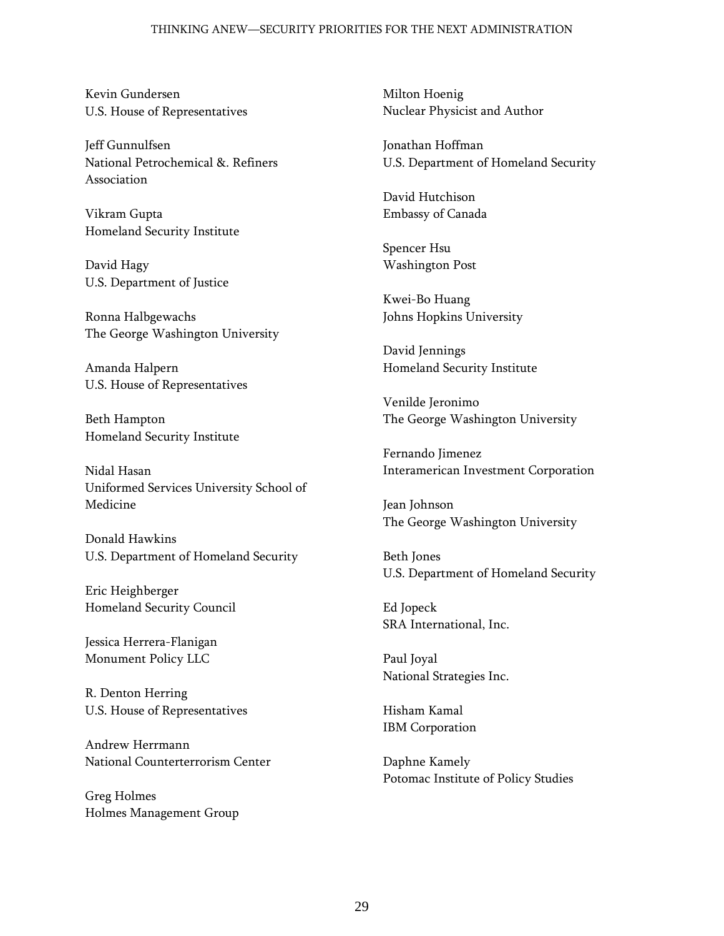Kevin Gundersen U.S. House of Representatives

Jeff Gunnulfsen National Petrochemical &. Refiners Association

Vikram Gupta Homeland Security Institute

David Hagy U.S. Department of Justice

Ronna Halbgewachs The George Washington University

Amanda Halpern U.S. House of Representatives

Beth Hampton Homeland Security Institute

Nidal Hasan Uniformed Services University School of Medicine

Donald Hawkins U.S. Department of Homeland Security

Eric Heighberger Homeland Security Council

Jessica Herrera-Flanigan Monument Policy LLC

R. Denton Herring U.S. House of Representatives

Andrew Herrmann National Counterterrorism Center

Greg Holmes Holmes Management Group Milton Hoenig Nuclear Physicist and Author

Jonathan Hoffman U.S. Department of Homeland Security

David Hutchison Embassy of Canada

Spencer Hsu Washington Post

Kwei-Bo Huang Johns Hopkins University

David Jennings Homeland Security Institute

Venilde Jeronimo The George Washington University

Fernando Jimenez Interamerican Investment Corporation

Jean Johnson The George Washington University

Beth Jones U.S. Department of Homeland Security

Ed Jopeck SRA International, Inc.

Paul Joyal National Strategies Inc.

Hisham Kamal IBM Corporation

Daphne Kamely Potomac Institute of Policy Studies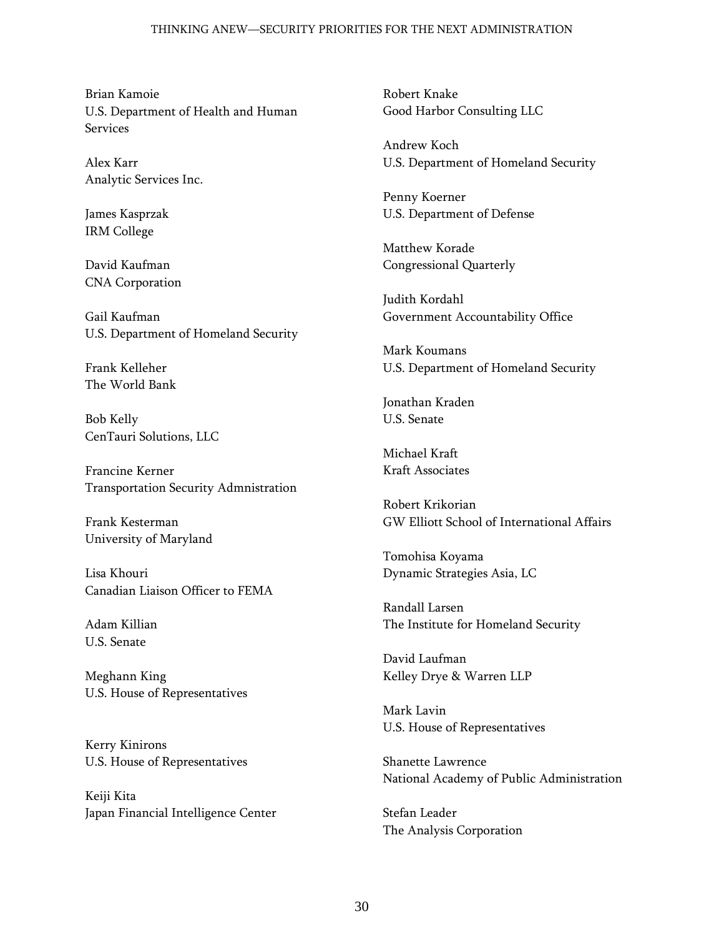Brian Kamoie U.S. Department of Health and Human Services

Alex Karr Analytic Services Inc.

James Kasprzak IRM College

David Kaufman CNA Corporation

Gail Kaufman U.S. Department of Homeland Security

Frank Kelleher The World Bank

Bob Kelly CenTauri Solutions, LLC

Francine Kerner Transportation Security Admnistration

Frank Kesterman University of Maryland

Lisa Khouri Canadian Liaison Officer to FEMA

Adam Killian U.S. Senate

Meghann King U.S. House of Representatives

Kerry Kinirons U.S. House of Representatives

Keiji Kita Japan Financial Intelligence Center Robert Knake Good Harbor Consulting LLC

Andrew Koch U.S. Department of Homeland Security

Penny Koerner U.S. Department of Defense

Matthew Korade Congressional Quarterly

Judith Kordahl Government Accountability Office

Mark Koumans U.S. Department of Homeland Security

Jonathan Kraden U.S. Senate

Michael Kraft Kraft Associates

Robert Krikorian GW Elliott School of International Affairs

Tomohisa Koyama Dynamic Strategies Asia, LC

Randall Larsen The Institute for Homeland Security

David Laufman Kelley Drye & Warren LLP

Mark Lavin U.S. House of Representatives

Shanette Lawrence National Academy of Public Administration

Stefan Leader The Analysis Corporation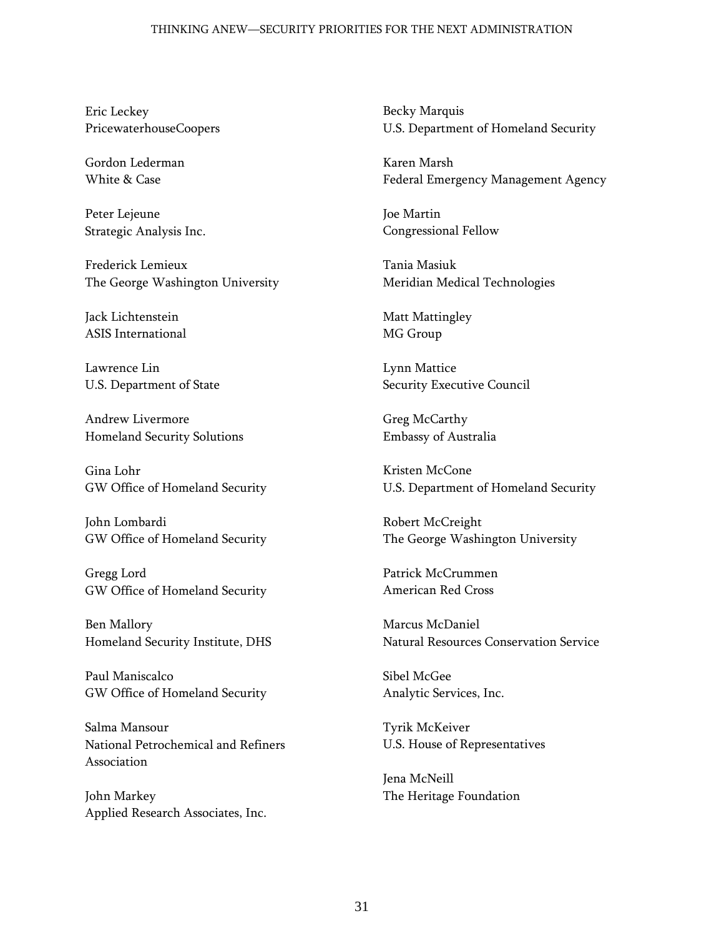Eric Leckey PricewaterhouseCoopers

Gordon Lederman White & Case

Peter Lejeune Strategic Analysis Inc.

Frederick Lemieux The George Washington University

Jack Lichtenstein ASIS International

Lawrence Lin U.S. Department of State

Andrew Livermore Homeland Security Solutions

Gina Lohr GW Office of Homeland Security

John Lombardi GW Office of Homeland Security

Gregg Lord GW Office of Homeland Security

Ben Mallory Homeland Security Institute, DHS

Paul Maniscalco GW Office of Homeland Security

Salma Mansour National Petrochemical and Refiners Association

John Markey Applied Research Associates, Inc. Becky Marquis U.S. Department of Homeland Security

Karen Marsh Federal Emergency Management Agency

Joe Martin Congressional Fellow

Tania Masiuk Meridian Medical Technologies

Matt Mattingley MG Group

Lynn Mattice Security Executive Council

Greg McCarthy Embassy of Australia

Kristen McCone U.S. Department of Homeland Security

Robert McCreight The George Washington University

Patrick McCrummen American Red Cross

Marcus McDaniel Natural Resources Conservation Service

Sibel McGee Analytic Services, Inc.

Tyrik McKeiver U.S. House of Representatives

Jena McNeill The Heritage Foundation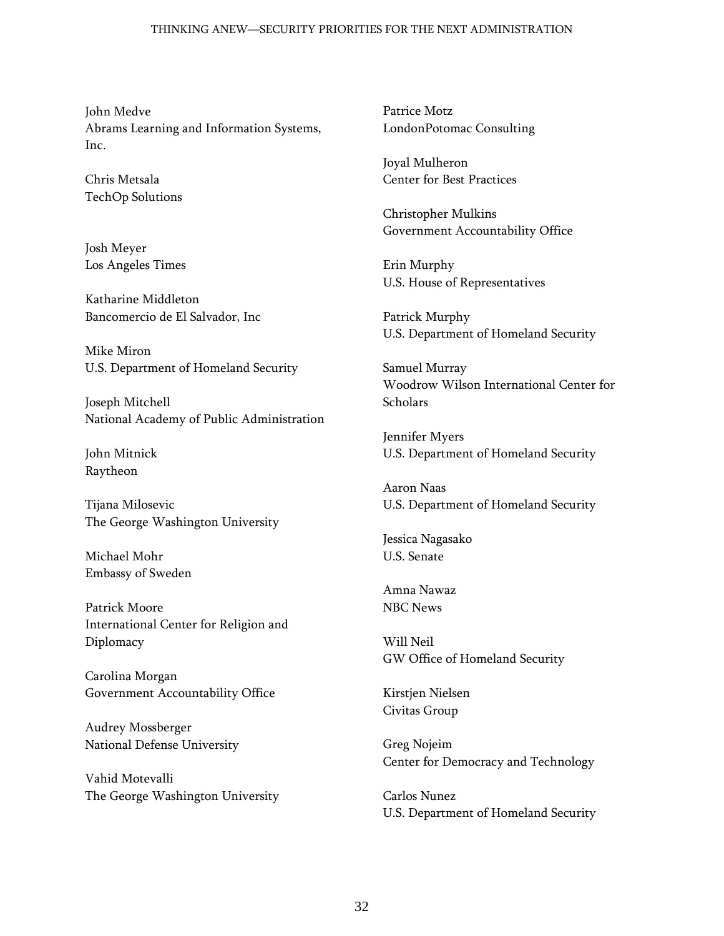John Medve Abrams Learning and Information Systems, Inc.

Chris Metsala TechOp Solutions

Josh Meyer Los Angeles Times

Katharine Middleton Bancomercio de El Salvador, Inc

Mike Miron U.S. Department of Homeland Security

Joseph Mitchell National Academy of Public Administration

John Mitnick Raytheon

Tijana Milosevic The George Washington University

Michael Mohr Embassy of Sweden

Patrick Moore International Center for Religion and Diplomacy

Carolina Morgan Government Accountability Office

Audrey Mossberger National Defense University

Vahid Motevalli The George Washington University Patrice Motz LondonPotomac Consulting

Joyal Mulheron Center for Best Practices

Christopher Mulkins Government Accountability Office

Erin Murphy U.S. House of Representatives

Patrick Murphy U.S. Department of Homeland Security

Samuel Murray Woodrow Wilson International Center for Scholars

Jennifer Myers U.S. Department of Homeland Security

Aaron Naas U.S. Department of Homeland Security

Jessica Nagasako U.S. Senate

Amna Nawaz NBC News

Will Neil GW Office of Homeland Security

Kirstjen Nielsen Civitas Group

Greg Nojeim Center for Democracy and Technology

Carlos Nunez U.S. Department of Homeland Security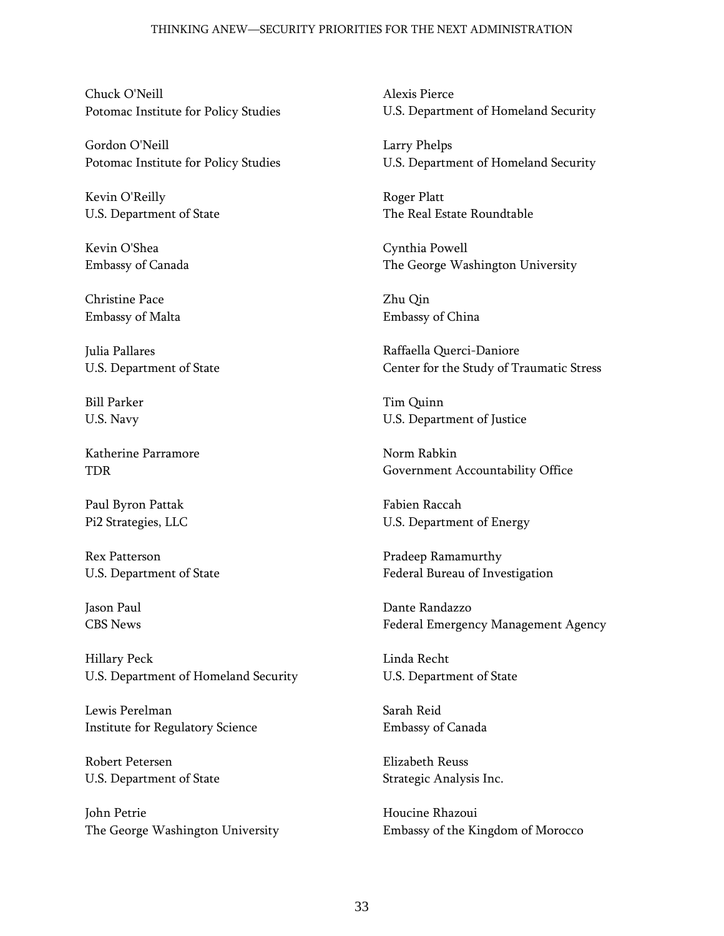Chuck O'Neill Potomac Institute for Policy Studies

Gordon O'Neill Potomac Institute for Policy Studies

Kevin O'Reilly U.S. Department of State

Kevin O'Shea Embassy of Canada

Christine Pace Embassy of Malta

Julia Pallares U.S. Department of State

Bill Parker U.S. Navy

Katherine Parramore TDR

Paul Byron Pattak Pi2 Strategies, LLC

Rex Patterson U.S. Department of State

Jason Paul CBS News

Hillary Peck U.S. Department of Homeland Security

Lewis Perelman Institute for Regulatory Science

Robert Petersen U.S. Department of State

John Petrie The George Washington University Alexis Pierce U.S. Department of Homeland Security

Larry Phelps U.S. Department of Homeland Security

Roger Platt The Real Estate Roundtable

Cynthia Powell The George Washington University

Zhu Qin Embassy of China

Raffaella Querci-Daniore Center for the Study of Traumatic Stress

Tim Quinn U.S. Department of Justice

Norm Rabkin Government Accountability Office

Fabien Raccah U.S. Department of Energy

Pradeep Ramamurthy Federal Bureau of Investigation

Dante Randazzo Federal Emergency Management Agency

Linda Recht U.S. Department of State

Sarah Reid Embassy of Canada

Elizabeth Reuss Strategic Analysis Inc.

Houcine Rhazoui Embassy of the Kingdom of Morocco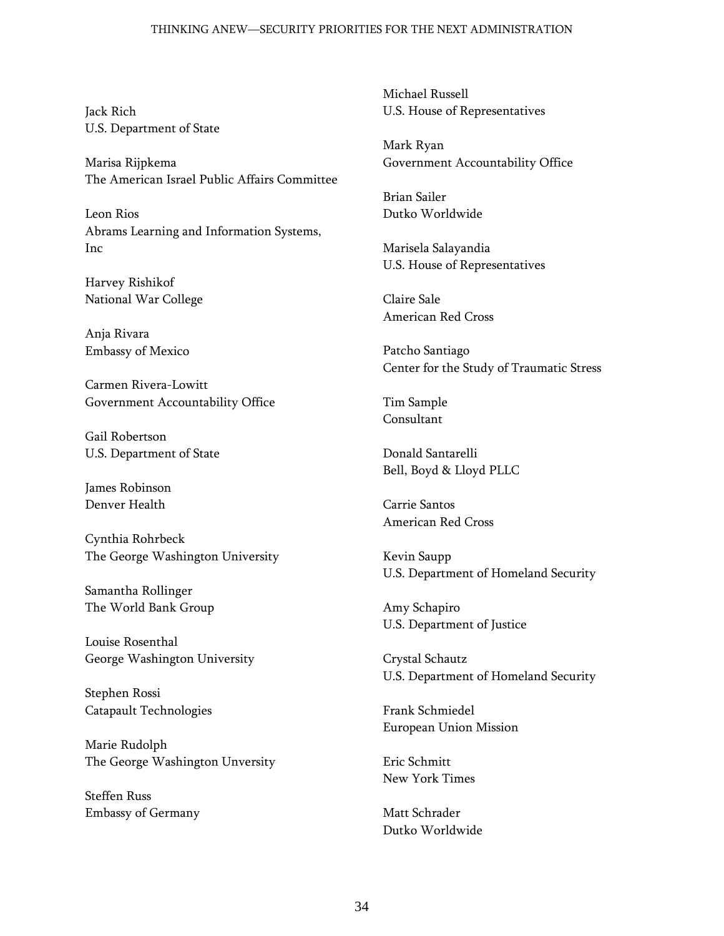Jack Rich U.S. Department of State

Marisa Rijpkema The American Israel Public Affairs Committee

Leon Rios Abrams Learning and Information Systems, Inc

Harvey Rishikof National War College

Anja Rivara Embassy of Mexico

Carmen Rivera-Lowitt Government Accountability Office

Gail Robertson U.S. Department of State

James Robinson Denver Health

Cynthia Rohrbeck The George Washington University

Samantha Rollinger The World Bank Group

Louise Rosenthal George Washington University

Stephen Rossi Catapault Technologies

Marie Rudolph The George Washington Unversity

Steffen Russ Embassy of Germany Michael Russell U.S. House of Representatives

Mark Ryan Government Accountability Office

Brian Sailer Dutko Worldwide

Marisela Salayandia U.S. House of Representatives

Claire Sale American Red Cross

Patcho Santiago Center for the Study of Traumatic Stress

Tim Sample Consultant

Donald Santarelli Bell, Boyd & Lloyd PLLC

Carrie Santos American Red Cross

Kevin Saupp U.S. Department of Homeland Security

Amy Schapiro U.S. Department of Justice

Crystal Schautz U.S. Department of Homeland Security

Frank Schmiedel European Union Mission

Eric Schmitt New York Times

Matt Schrader Dutko Worldwide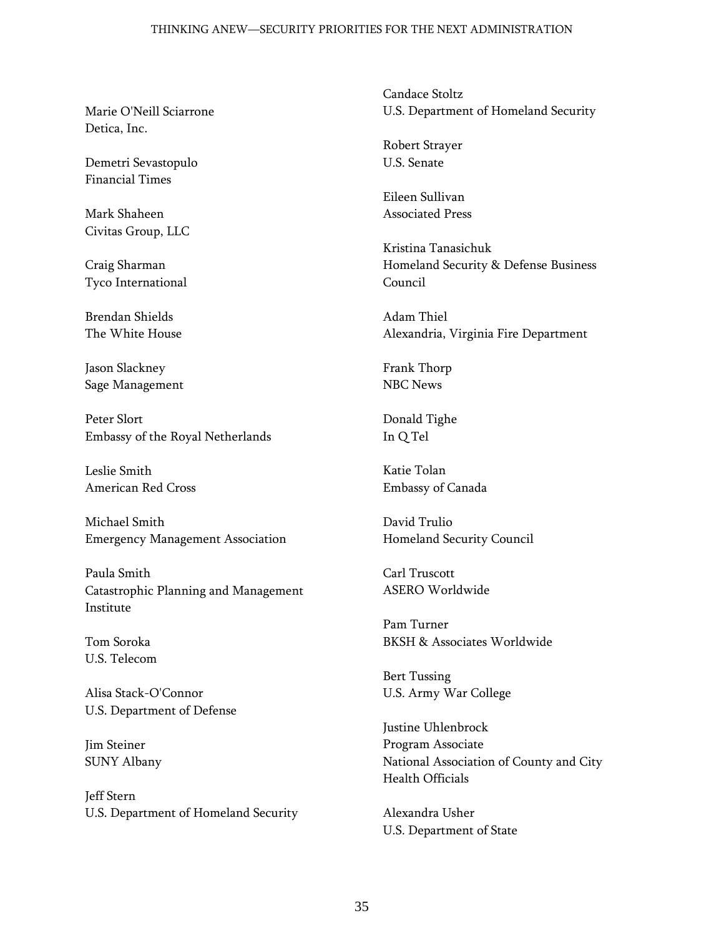Marie O'Neill Sciarrone Detica, Inc.

Demetri Sevastopulo Financial Times

Mark Shaheen Civitas Group, LLC

Craig Sharman Tyco International

Brendan Shields The White House

Jason Slackney Sage Management

Peter Slort Embassy of the Royal Netherlands

Leslie Smith American Red Cross

Michael Smith Emergency Management Association

Paula Smith Catastrophic Planning and Management Institute

Tom Soroka U.S. Telecom

Alisa Stack-O'Connor U.S. Department of Defense

Jim Steiner SUNY Albany

Jeff Stern U.S. Department of Homeland Security Candace Stoltz U.S. Department of Homeland Security

Robert Strayer U.S. Senate

Eileen Sullivan Associated Press

Kristina Tanasichuk Homeland Security & Defense Business Council

Adam Thiel Alexandria, Virginia Fire Department

Frank Thorp NBC News

Donald Tighe In Q Tel

Katie Tolan Embassy of Canada

David Trulio Homeland Security Council

Carl Truscott ASERO Worldwide

Pam Turner BKSH & Associates Worldwide

Bert Tussing U.S. Army War College

Justine Uhlenbrock Program Associate National Association of County and City Health Officials

Alexandra Usher U.S. Department of State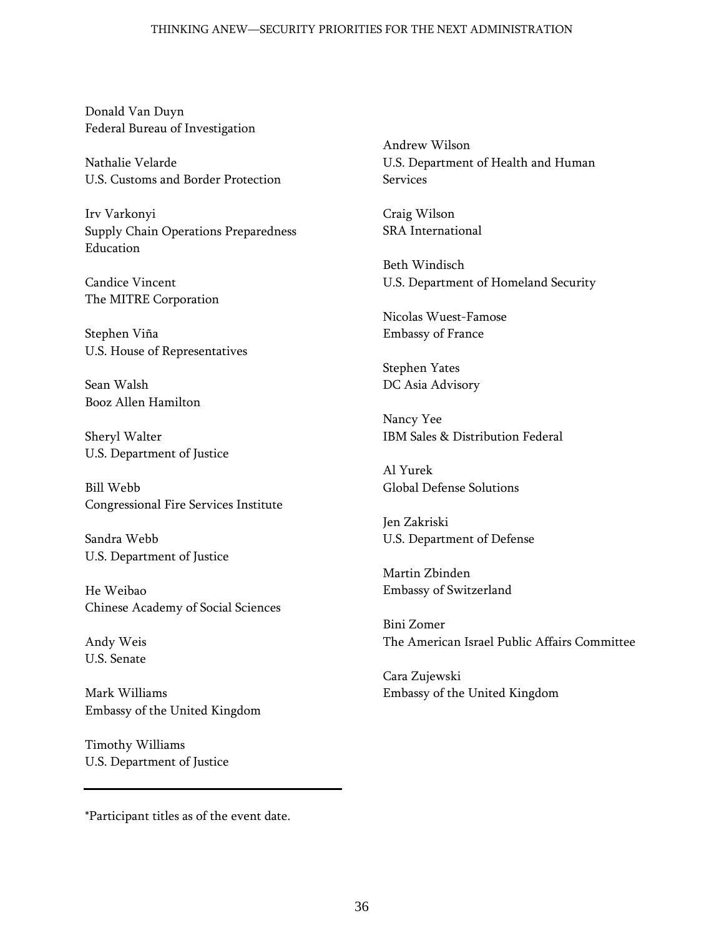Donald Van Duyn Federal Bureau of Investigation

Nathalie Velarde U.S. Customs and Border Protection

Irv Varkonyi Supply Chain Operations Preparedness Education

Candice Vincent The MITRE Corporation

Stephen Viña U.S. House of Representatives

Sean Walsh Booz Allen Hamilton

Sheryl Walter U.S. Department of Justice

Bill Webb Congressional Fire Services Institute

Sandra Webb U.S. Department of Justice

He Weibao Chinese Academy of Social Sciences

Andy Weis U.S. Senate

Mark Williams Embassy of the United Kingdom

Timothy Williams U.S. Department of Justice Andrew Wilson U.S. Department of Health and Human Services

Craig Wilson SRA International

Beth Windisch U.S. Department of Homeland Security

Nicolas Wuest-Famose Embassy of France

Stephen Yates DC Asia Advisory

Nancy Yee IBM Sales & Distribution Federal

Al Yurek Global Defense Solutions

Jen Zakriski U.S. Department of Defense

Martin Zbinden Embassy of Switzerland

Bini Zomer The American Israel Public Affairs Committee

Cara Zujewski Embassy of the United Kingdom

\*Participant titles as of the event date.